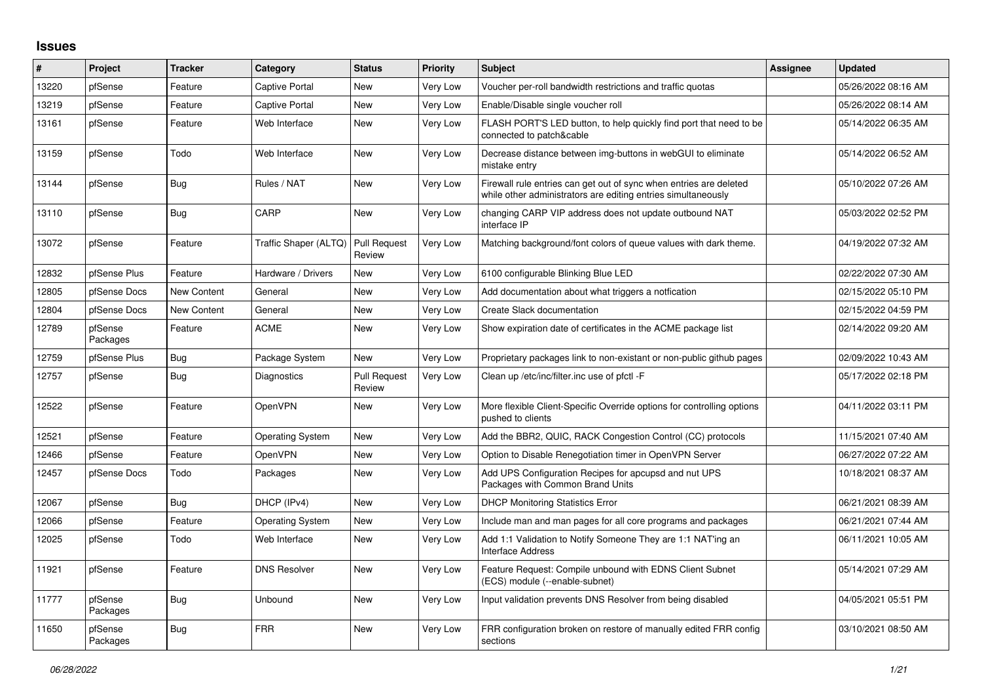## **Issues**

| #     | Project             | <b>Tracker</b>     | Category                | <b>Status</b>          | <b>Priority</b> | <b>Subject</b>                                                                                                                      | <b>Assignee</b> | <b>Updated</b>      |
|-------|---------------------|--------------------|-------------------------|------------------------|-----------------|-------------------------------------------------------------------------------------------------------------------------------------|-----------------|---------------------|
| 13220 | pfSense             | Feature            | <b>Captive Portal</b>   | <b>New</b>             | Very Low        | Voucher per-roll bandwidth restrictions and traffic quotas                                                                          |                 | 05/26/2022 08:16 AM |
| 13219 | pfSense             | Feature            | <b>Captive Portal</b>   | <b>New</b>             | Very Low        | Enable/Disable single voucher roll                                                                                                  |                 | 05/26/2022 08:14 AM |
| 13161 | pfSense             | Feature            | Web Interface           | <b>New</b>             | Very Low        | FLASH PORT'S LED button, to help quickly find port that need to be<br>connected to patch&cable                                      |                 | 05/14/2022 06:35 AM |
| 13159 | pfSense             | Todo               | Web Interface           | <b>New</b>             | Very Low        | Decrease distance between img-buttons in webGUI to eliminate<br>mistake entry                                                       |                 | 05/14/2022 06:52 AM |
| 13144 | pfSense             | Bug                | Rules / NAT             | New                    | <b>Very Low</b> | Firewall rule entries can get out of sync when entries are deleted<br>while other administrators are editing entries simultaneously |                 | 05/10/2022 07:26 AM |
| 13110 | pfSense             | Bug                | CARP                    | New                    | <b>Very Low</b> | changing CARP VIP address does not update outbound NAT<br>interface IP                                                              |                 | 05/03/2022 02:52 PM |
| 13072 | pfSense             | Feature            | Traffic Shaper (ALTQ)   | Pull Request<br>Review | Very Low        | Matching background/font colors of queue values with dark theme.                                                                    |                 | 04/19/2022 07:32 AM |
| 12832 | pfSense Plus        | Feature            | Hardware / Drivers      | <b>New</b>             | Very Low        | 6100 configurable Blinking Blue LED                                                                                                 |                 | 02/22/2022 07:30 AM |
| 12805 | pfSense Docs        | New Content        | General                 | <b>New</b>             | Very Low        | Add documentation about what triggers a notfication                                                                                 |                 | 02/15/2022 05:10 PM |
| 12804 | pfSense Docs        | <b>New Content</b> | General                 | <b>New</b>             | Very Low        | Create Slack documentation                                                                                                          |                 | 02/15/2022 04:59 PM |
| 12789 | pfSense<br>Packages | Feature            | <b>ACME</b>             | <b>New</b>             | Very Low        | Show expiration date of certificates in the ACME package list                                                                       |                 | 02/14/2022 09:20 AM |
| 12759 | pfSense Plus        | Bug                | Package System          | New                    | Very Low        | Proprietary packages link to non-existant or non-public github pages                                                                |                 | 02/09/2022 10:43 AM |
| 12757 | pfSense             | Bug                | <b>Diagnostics</b>      | Pull Request<br>Review | <b>Very Low</b> | Clean up /etc/inc/filter.inc use of pfctl -F                                                                                        |                 | 05/17/2022 02:18 PM |
| 12522 | pfSense             | Feature            | OpenVPN                 | <b>New</b>             | Very Low        | More flexible Client-Specific Override options for controlling options<br>pushed to clients                                         |                 | 04/11/2022 03:11 PM |
| 12521 | pfSense             | Feature            | <b>Operating System</b> | <b>New</b>             | Very Low        | Add the BBR2, QUIC, RACK Congestion Control (CC) protocols                                                                          |                 | 11/15/2021 07:40 AM |
| 12466 | pfSense             | Feature            | OpenVPN                 | New                    | Very Low        | Option to Disable Renegotiation timer in OpenVPN Server                                                                             |                 | 06/27/2022 07:22 AM |
| 12457 | pfSense Docs        | Todo               | Packages                | <b>New</b>             | Very Low        | Add UPS Configuration Recipes for apcupsd and nut UPS<br>Packages with Common Brand Units                                           |                 | 10/18/2021 08:37 AM |
| 12067 | pfSense             | <b>Bug</b>         | DHCP (IPv4)             | <b>New</b>             | Very Low        | <b>DHCP Monitoring Statistics Error</b>                                                                                             |                 | 06/21/2021 08:39 AM |
| 12066 | pfSense             | Feature            | <b>Operating System</b> | <b>New</b>             | <b>Very Low</b> | Include man and man pages for all core programs and packages                                                                        |                 | 06/21/2021 07:44 AM |
| 12025 | pfSense             | Todo               | Web Interface           | New                    | Very Low        | Add 1:1 Validation to Notify Someone They are 1:1 NAT'ing an<br><b>Interface Address</b>                                            |                 | 06/11/2021 10:05 AM |
| 11921 | pfSense             | Feature            | <b>DNS Resolver</b>     | <b>New</b>             | Very Low        | Feature Request: Compile unbound with EDNS Client Subnet<br>(ECS) module (--enable-subnet)                                          |                 | 05/14/2021 07:29 AM |
| 11777 | pfSense<br>Packages | Bug                | Unbound                 | <b>New</b>             | Very Low        | Input validation prevents DNS Resolver from being disabled                                                                          |                 | 04/05/2021 05:51 PM |
| 11650 | pfSense<br>Packages | <b>Bug</b>         | <b>FRR</b>              | <b>New</b>             | <b>Very Low</b> | FRR configuration broken on restore of manually edited FRR config<br>sections                                                       |                 | 03/10/2021 08:50 AM |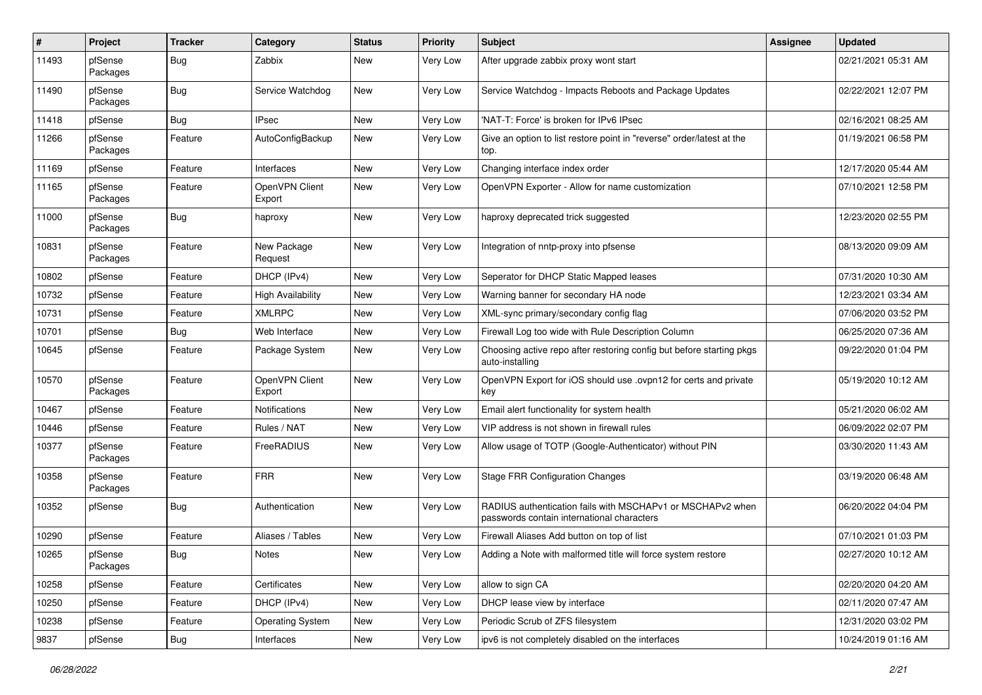| #     | Project             | <b>Tracker</b> | Category                 | <b>Status</b> | <b>Priority</b> | Subject                                                                                                  | <b>Assignee</b> | <b>Updated</b>      |
|-------|---------------------|----------------|--------------------------|---------------|-----------------|----------------------------------------------------------------------------------------------------------|-----------------|---------------------|
| 11493 | pfSense<br>Packages | Bug            | Zabbix                   | <b>New</b>    | Very Low        | After upgrade zabbix proxy wont start                                                                    |                 | 02/21/2021 05:31 AM |
| 11490 | pfSense<br>Packages | Bug            | Service Watchdog         | New           | Very Low        | Service Watchdog - Impacts Reboots and Package Updates                                                   |                 | 02/22/2021 12:07 PM |
| 11418 | pfSense             | Bug            | <b>IPsec</b>             | <b>New</b>    | <b>Very Low</b> | 'NAT-T: Force' is broken for IPv6 IPsec                                                                  |                 | 02/16/2021 08:25 AM |
| 11266 | pfSense<br>Packages | Feature        | AutoConfigBackup         | New           | Very Low        | Give an option to list restore point in "reverse" order/latest at the<br>top.                            |                 | 01/19/2021 06:58 PM |
| 11169 | pfSense             | Feature        | Interfaces               | <b>New</b>    | Very Low        | Changing interface index order                                                                           |                 | 12/17/2020 05:44 AM |
| 11165 | pfSense<br>Packages | Feature        | OpenVPN Client<br>Export | New           | Very Low        | OpenVPN Exporter - Allow for name customization                                                          |                 | 07/10/2021 12:58 PM |
| 11000 | pfSense<br>Packages | <b>Bug</b>     | haproxy                  | New           | Very Low        | haproxy deprecated trick suggested                                                                       |                 | 12/23/2020 02:55 PM |
| 10831 | pfSense<br>Packages | Feature        | New Package<br>Request   | New           | Very Low        | Integration of nntp-proxy into pfsense                                                                   |                 | 08/13/2020 09:09 AM |
| 10802 | pfSense             | Feature        | DHCP (IPv4)              | New           | Very Low        | Seperator for DHCP Static Mapped leases                                                                  |                 | 07/31/2020 10:30 AM |
| 10732 | pfSense             | Feature        | <b>High Availability</b> | <b>New</b>    | Very Low        | Warning banner for secondary HA node                                                                     |                 | 12/23/2021 03:34 AM |
| 10731 | pfSense             | Feature        | <b>XMLRPC</b>            | New           | Very Low        | XML-sync primary/secondary config flag                                                                   |                 | 07/06/2020 03:52 PM |
| 10701 | pfSense             | <b>Bug</b>     | Web Interface            | <b>New</b>    | Very Low        | Firewall Log too wide with Rule Description Column                                                       |                 | 06/25/2020 07:36 AM |
| 10645 | pfSense             | Feature        | Package System           | New           | <b>Very Low</b> | Choosing active repo after restoring config but before starting pkgs<br>auto-installing                  |                 | 09/22/2020 01:04 PM |
| 10570 | pfSense<br>Packages | Feature        | OpenVPN Client<br>Export | New           | <b>Very Low</b> | OpenVPN Export for iOS should use .ovpn12 for certs and private<br>key                                   |                 | 05/19/2020 10:12 AM |
| 10467 | pfSense             | Feature        | <b>Notifications</b>     | New           | <b>Very Low</b> | Email alert functionality for system health                                                              |                 | 05/21/2020 06:02 AM |
| 10446 | pfSense             | Feature        | Rules / NAT              | <b>New</b>    | Very Low        | VIP address is not shown in firewall rules                                                               |                 | 06/09/2022 02:07 PM |
| 10377 | pfSense<br>Packages | Feature        | FreeRADIUS               | New           | Very Low        | Allow usage of TOTP (Google-Authenticator) without PIN                                                   |                 | 03/30/2020 11:43 AM |
| 10358 | pfSense<br>Packages | Feature        | <b>FRR</b>               | New           | <b>Very Low</b> | <b>Stage FRR Configuration Changes</b>                                                                   |                 | 03/19/2020 06:48 AM |
| 10352 | pfSense             | Bug            | Authentication           | <b>New</b>    | Very Low        | RADIUS authentication fails with MSCHAPv1 or MSCHAPv2 when<br>passwords contain international characters |                 | 06/20/2022 04:04 PM |
| 10290 | pfSense             | Feature        | Aliases / Tables         | <b>New</b>    | Very Low        | Firewall Aliases Add button on top of list                                                               |                 | 07/10/2021 01:03 PM |
| 10265 | pfSense<br>Packages | Bug            | Notes                    | New           | Very Low        | Adding a Note with malformed title will force system restore                                             |                 | 02/27/2020 10:12 AM |
| 10258 | pfSense             | Feature        | Certificates             | New           | Very Low        | allow to sign CA                                                                                         |                 | 02/20/2020 04:20 AM |
| 10250 | pfSense             | Feature        | DHCP (IPv4)              | New           | Very Low        | DHCP lease view by interface                                                                             |                 | 02/11/2020 07:47 AM |
| 10238 | pfSense             | Feature        | <b>Operating System</b>  | New           | Very Low        | Periodic Scrub of ZFS filesystem                                                                         |                 | 12/31/2020 03:02 PM |
| 9837  | pfSense             | Bug            | Interfaces               | New           | Very Low        | ipv6 is not completely disabled on the interfaces                                                        |                 | 10/24/2019 01:16 AM |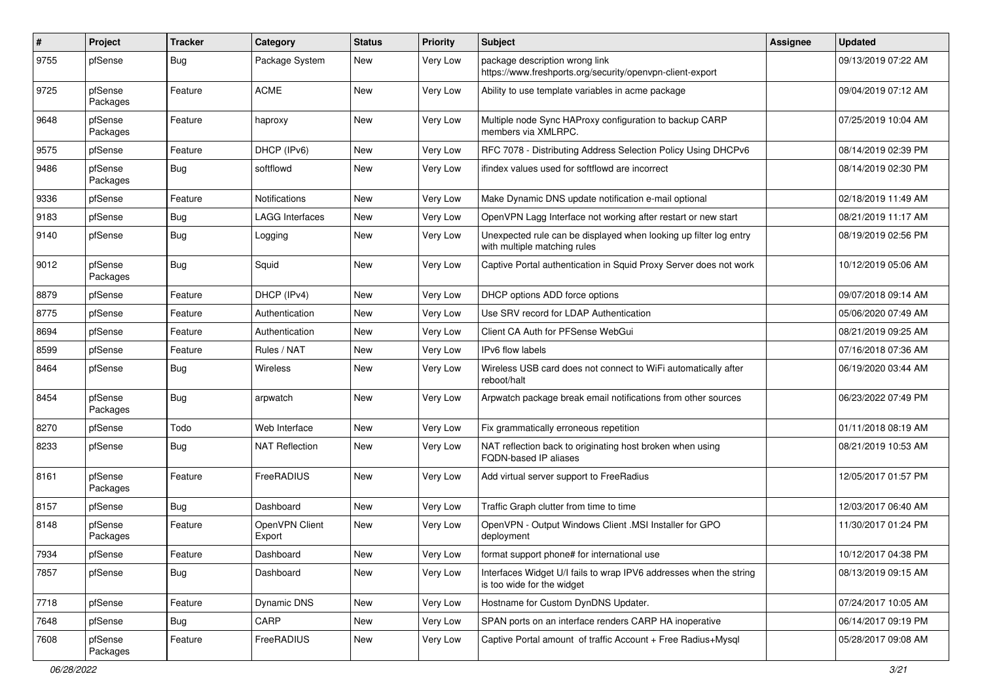| ∦    | Project             | <b>Tracker</b> | Category                 | <b>Status</b> | <b>Priority</b> | <b>Subject</b>                                                                                    | Assignee | <b>Updated</b>      |
|------|---------------------|----------------|--------------------------|---------------|-----------------|---------------------------------------------------------------------------------------------------|----------|---------------------|
| 9755 | pfSense             | Bug            | Package System           | New           | Very Low        | package description wrong link<br>https://www.freshports.org/security/openvpn-client-export       |          | 09/13/2019 07:22 AM |
| 9725 | pfSense<br>Packages | Feature        | <b>ACME</b>              | New           | Very Low        | Ability to use template variables in acme package                                                 |          | 09/04/2019 07:12 AM |
| 9648 | pfSense<br>Packages | Feature        | haproxy                  | New           | Very Low        | Multiple node Sync HAProxy configuration to backup CARP<br>members via XMLRPC.                    |          | 07/25/2019 10:04 AM |
| 9575 | pfSense             | Feature        | DHCP (IPv6)              | <b>New</b>    | Very Low        | RFC 7078 - Distributing Address Selection Policy Using DHCPv6                                     |          | 08/14/2019 02:39 PM |
| 9486 | pfSense<br>Packages | Bug            | softflowd                | New           | <b>Very Low</b> | ifindex values used for softflowd are incorrect                                                   |          | 08/14/2019 02:30 PM |
| 9336 | pfSense             | Feature        | <b>Notifications</b>     | New           | Very Low        | Make Dynamic DNS update notification e-mail optional                                              |          | 02/18/2019 11:49 AM |
| 9183 | pfSense             | <b>Bug</b>     | <b>LAGG Interfaces</b>   | New           | Very Low        | OpenVPN Lagg Interface not working after restart or new start                                     |          | 08/21/2019 11:17 AM |
| 9140 | pfSense             | Bug            | Logging                  | New           | Very Low        | Unexpected rule can be displayed when looking up filter log entry<br>with multiple matching rules |          | 08/19/2019 02:56 PM |
| 9012 | pfSense<br>Packages | Bug            | Squid                    | <b>New</b>    | Very Low        | Captive Portal authentication in Squid Proxy Server does not work                                 |          | 10/12/2019 05:06 AM |
| 8879 | pfSense             | Feature        | DHCP (IPv4)              | <b>New</b>    | Very Low        | DHCP options ADD force options                                                                    |          | 09/07/2018 09:14 AM |
| 8775 | pfSense             | Feature        | Authentication           | New           | Very Low        | Use SRV record for LDAP Authentication                                                            |          | 05/06/2020 07:49 AM |
| 8694 | pfSense             | Feature        | Authentication           | New           | Very Low        | Client CA Auth for PFSense WebGui                                                                 |          | 08/21/2019 09:25 AM |
| 8599 | pfSense             | Feature        | Rules / NAT              | New           | Very Low        | IPv6 flow labels                                                                                  |          | 07/16/2018 07:36 AM |
| 8464 | pfSense             | Bug            | <b>Wireless</b>          | New           | Very Low        | Wireless USB card does not connect to WiFi automatically after<br>reboot/halt                     |          | 06/19/2020 03:44 AM |
| 8454 | pfSense<br>Packages | Bug            | arpwatch                 | New           | Very Low        | Arpwatch package break email notifications from other sources                                     |          | 06/23/2022 07:49 PM |
| 8270 | pfSense             | Todo           | Web Interface            | <b>New</b>    | Very Low        | Fix grammatically erroneous repetition                                                            |          | 01/11/2018 08:19 AM |
| 8233 | pfSense             | Bug            | <b>NAT Reflection</b>    | New           | Very Low        | NAT reflection back to originating host broken when using<br>FQDN-based IP aliases                |          | 08/21/2019 10:53 AM |
| 8161 | pfSense<br>Packages | Feature        | FreeRADIUS               | <b>New</b>    | <b>Very Low</b> | Add virtual server support to FreeRadius                                                          |          | 12/05/2017 01:57 PM |
| 8157 | pfSense             | <b>Bug</b>     | Dashboard                | New           | Very Low        | Traffic Graph clutter from time to time                                                           |          | 12/03/2017 06:40 AM |
| 8148 | pfSense<br>Packages | Feature        | OpenVPN Client<br>Export | New           | Very Low        | OpenVPN - Output Windows Client .MSI Installer for GPO<br>deployment                              |          | 11/30/2017 01:24 PM |
| 7934 | pfSense             | Feature        | Dashboard                | New           | Very Low        | format support phone# for international use                                                       |          | 10/12/2017 04:38 PM |
| 7857 | pfSense             | Bug            | Dashboard                | New           | Very Low        | Interfaces Widget U/I fails to wrap IPV6 addresses when the string<br>is too wide for the widget  |          | 08/13/2019 09:15 AM |
| 7718 | pfSense             | Feature        | Dynamic DNS              | New           | Very Low        | Hostname for Custom DynDNS Updater.                                                               |          | 07/24/2017 10:05 AM |
| 7648 | pfSense             | Bug            | CARP                     | New           | Very Low        | SPAN ports on an interface renders CARP HA inoperative                                            |          | 06/14/2017 09:19 PM |
| 7608 | pfSense<br>Packages | Feature        | FreeRADIUS               | New           | Very Low        | Captive Portal amount of traffic Account + Free Radius+Mysql                                      |          | 05/28/2017 09:08 AM |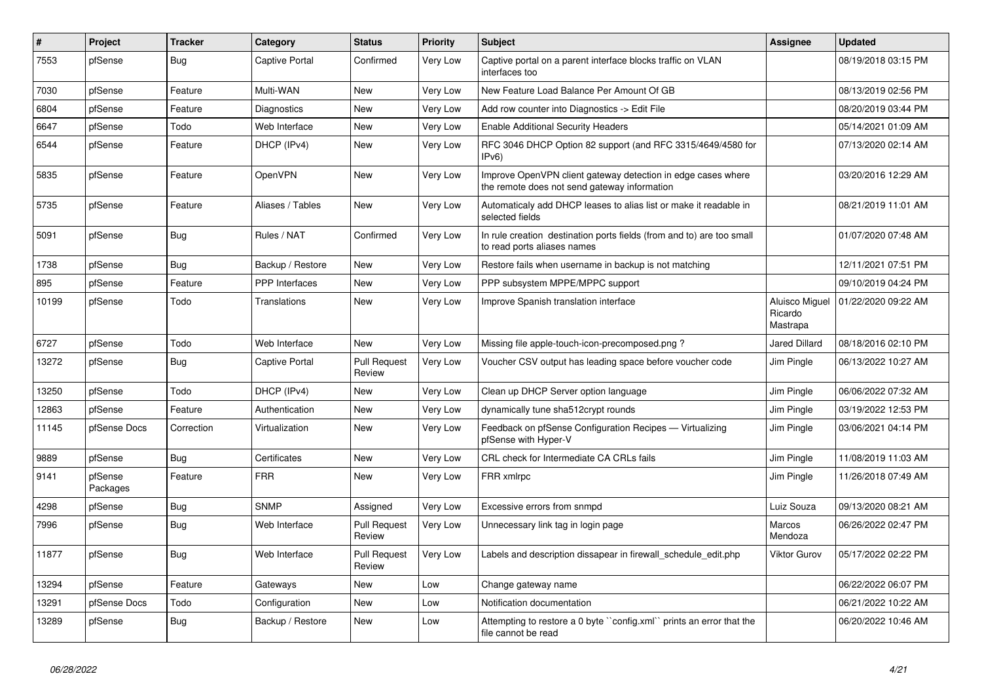| #     | Project             | <b>Tracker</b> | Category              | <b>Status</b>                 | <b>Priority</b> | <b>Subject</b>                                                                                               | <b>Assignee</b>                       | <b>Updated</b>      |
|-------|---------------------|----------------|-----------------------|-------------------------------|-----------------|--------------------------------------------------------------------------------------------------------------|---------------------------------------|---------------------|
| 7553  | pfSense             | <b>Bug</b>     | <b>Captive Portal</b> | Confirmed                     | <b>Very Low</b> | Captive portal on a parent interface blocks traffic on VLAN<br>interfaces too                                |                                       | 08/19/2018 03:15 PM |
| 7030  | pfSense             | Feature        | Multi-WAN             | <b>New</b>                    | Very Low        | New Feature Load Balance Per Amount Of GB                                                                    |                                       | 08/13/2019 02:56 PM |
| 6804  | pfSense             | Feature        | <b>Diagnostics</b>    | <b>New</b>                    | Very Low        | Add row counter into Diagnostics -> Edit File                                                                |                                       | 08/20/2019 03:44 PM |
| 6647  | pfSense             | Todo           | Web Interface         | <b>New</b>                    | Very Low        | <b>Enable Additional Security Headers</b>                                                                    |                                       | 05/14/2021 01:09 AM |
| 6544  | pfSense             | Feature        | DHCP (IPv4)           | <b>New</b>                    | Very Low        | RFC 3046 DHCP Option 82 support (and RFC 3315/4649/4580 for<br>IPv <sub>6</sub> )                            |                                       | 07/13/2020 02:14 AM |
| 5835  | pfSense             | Feature        | OpenVPN               | <b>New</b>                    | Very Low        | Improve OpenVPN client gateway detection in edge cases where<br>the remote does not send gateway information |                                       | 03/20/2016 12:29 AM |
| 5735  | pfSense             | Feature        | Aliases / Tables      | <b>New</b>                    | Very Low        | Automaticaly add DHCP leases to alias list or make it readable in<br>selected fields                         |                                       | 08/21/2019 11:01 AM |
| 5091  | pfSense             | <b>Bug</b>     | Rules / NAT           | Confirmed                     | Very Low        | In rule creation destination ports fields (from and to) are too small<br>to read ports aliases names         |                                       | 01/07/2020 07:48 AM |
| 1738  | pfSense             | Bug            | Backup / Restore      | <b>New</b>                    | Very Low        | Restore fails when username in backup is not matching                                                        |                                       | 12/11/2021 07:51 PM |
| 895   | pfSense             | Feature        | <b>PPP</b> Interfaces | <b>New</b>                    | Very Low        | PPP subsystem MPPE/MPPC support                                                                              |                                       | 09/10/2019 04:24 PM |
| 10199 | pfSense             | Todo           | Translations          | New                           | Very Low        | Improve Spanish translation interface                                                                        | Aluisco Miguel<br>Ricardo<br>Mastrapa | 01/22/2020 09:22 AM |
| 6727  | pfSense             | Todo           | Web Interface         | <b>New</b>                    | Very Low        | Missing file apple-touch-icon-precomposed.png?                                                               | <b>Jared Dillard</b>                  | 08/18/2016 02:10 PM |
| 13272 | pfSense             | Bug            | <b>Captive Portal</b> | Pull Request<br>Review        | Very Low        | Voucher CSV output has leading space before voucher code                                                     | Jim Pingle                            | 06/13/2022 10:27 AM |
| 13250 | pfSense             | Todo           | DHCP (IPv4)           | <b>New</b>                    | Very Low        | Clean up DHCP Server option language                                                                         | Jim Pingle                            | 06/06/2022 07:32 AM |
| 12863 | pfSense             | Feature        | Authentication        | <b>New</b>                    | Very Low        | dynamically tune sha512crypt rounds                                                                          | Jim Pingle                            | 03/19/2022 12:53 PM |
| 11145 | pfSense Docs        | Correction     | Virtualization        | New                           | Very Low        | Feedback on pfSense Configuration Recipes - Virtualizing<br>pfSense with Hyper-V                             | Jim Pingle                            | 03/06/2021 04:14 PM |
| 9889  | pfSense             | <b>Bug</b>     | Certificates          | <b>New</b>                    | Very Low        | CRL check for Intermediate CA CRLs fails                                                                     | Jim Pingle                            | 11/08/2019 11:03 AM |
| 9141  | pfSense<br>Packages | Feature        | <b>FRR</b>            | <b>New</b>                    | Very Low        | FRR xmlrpc                                                                                                   | Jim Pingle                            | 11/26/2018 07:49 AM |
| 4298  | pfSense             | <b>Bug</b>     | <b>SNMP</b>           | Assigned                      | Very Low        | Excessive errors from snmpd                                                                                  | Luiz Souza                            | 09/13/2020 08:21 AM |
| 7996  | pfSense             | <b>Bug</b>     | Web Interface         | <b>Pull Request</b><br>Review | <b>Very Low</b> | Unnecessary link tag in login page                                                                           | Marcos<br>Mendoza                     | 06/26/2022 02:47 PM |
| 11877 | pfSense             | Bug            | Web Interface         | <b>Pull Request</b><br>Review | <b>Very Low</b> | Labels and description dissapear in firewall schedule edit.php                                               | Viktor Gurov                          | 05/17/2022 02:22 PM |
| 13294 | pfSense             | Feature        | Gateways              | <b>New</b>                    | Low             | Change gateway name                                                                                          |                                       | 06/22/2022 06:07 PM |
| 13291 | pfSense Docs        | Todo           | Configuration         | <b>New</b>                    | Low             | Notification documentation                                                                                   |                                       | 06/21/2022 10:22 AM |
| 13289 | pfSense             | Bug            | Backup / Restore      | <b>New</b>                    | Low             | Attempting to restore a 0 byte "config.xml" prints an error that the<br>file cannot be read                  |                                       | 06/20/2022 10:46 AM |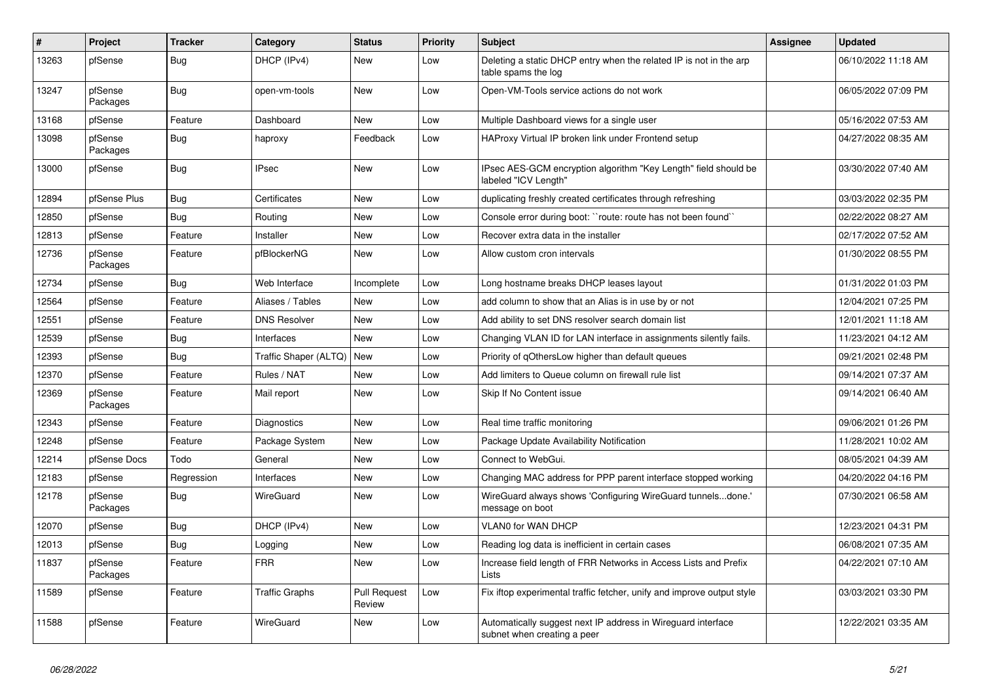| #     | Project             | <b>Tracker</b> | Category                    | <b>Status</b>                 | <b>Priority</b> | <b>Subject</b>                                                                              | <b>Assignee</b> | <b>Updated</b>      |
|-------|---------------------|----------------|-----------------------------|-------------------------------|-----------------|---------------------------------------------------------------------------------------------|-----------------|---------------------|
| 13263 | pfSense             | <b>Bug</b>     | DHCP (IPv4)                 | <b>New</b>                    | Low             | Deleting a static DHCP entry when the related IP is not in the arp<br>table spams the log   |                 | 06/10/2022 11:18 AM |
| 13247 | pfSense<br>Packages | <b>Bug</b>     | open-vm-tools               | <b>New</b>                    | Low             | Open-VM-Tools service actions do not work                                                   |                 | 06/05/2022 07:09 PM |
| 13168 | pfSense             | Feature        | Dashboard                   | <b>New</b>                    | Low             | Multiple Dashboard views for a single user                                                  |                 | 05/16/2022 07:53 AM |
| 13098 | pfSense<br>Packages | <b>Bug</b>     | haproxy                     | Feedback                      | Low             | HAProxy Virtual IP broken link under Frontend setup                                         |                 | 04/27/2022 08:35 AM |
| 13000 | pfSense             | <b>Bug</b>     | <b>IPsec</b>                | <b>New</b>                    | Low             | IPsec AES-GCM encryption algorithm "Key Length" field should be<br>labeled "ICV Length"     |                 | 03/30/2022 07:40 AM |
| 12894 | pfSense Plus        | <b>Bug</b>     | Certificates                | <b>New</b>                    | Low             | duplicating freshly created certificates through refreshing                                 |                 | 03/03/2022 02:35 PM |
| 12850 | pfSense             | Bug            | Routing                     | <b>New</b>                    | Low             | Console error during boot: ``route: route has not been found``                              |                 | 02/22/2022 08:27 AM |
| 12813 | pfSense             | Feature        | Installer                   | <b>New</b>                    | Low             | Recover extra data in the installer                                                         |                 | 02/17/2022 07:52 AM |
| 12736 | pfSense<br>Packages | Feature        | pfBlockerNG                 | <b>New</b>                    | Low             | Allow custom cron intervals                                                                 |                 | 01/30/2022 08:55 PM |
| 12734 | pfSense             | <b>Bug</b>     | Web Interface               | Incomplete                    | Low             | Long hostname breaks DHCP leases layout                                                     |                 | 01/31/2022 01:03 PM |
| 12564 | pfSense             | Feature        | Aliases / Tables            | <b>New</b>                    | Low             | add column to show that an Alias is in use by or not                                        |                 | 12/04/2021 07:25 PM |
| 12551 | pfSense             | Feature        | <b>DNS Resolver</b>         | <b>New</b>                    | Low             | Add ability to set DNS resolver search domain list                                          |                 | 12/01/2021 11:18 AM |
| 12539 | pfSense             | Bug            | Interfaces                  | <b>New</b>                    | Low             | Changing VLAN ID for LAN interface in assignments silently fails.                           |                 | 11/23/2021 04:12 AM |
| 12393 | pfSense             | Bug            | Traffic Shaper (ALTQ)   New |                               | Low             | Priority of qOthersLow higher than default queues                                           |                 | 09/21/2021 02:48 PM |
| 12370 | pfSense             | Feature        | Rules / NAT                 | <b>New</b>                    | Low             | Add limiters to Queue column on firewall rule list                                          |                 | 09/14/2021 07:37 AM |
| 12369 | pfSense<br>Packages | Feature        | Mail report                 | <b>New</b>                    | Low             | Skip If No Content issue                                                                    |                 | 09/14/2021 06:40 AM |
| 12343 | pfSense             | Feature        | Diagnostics                 | <b>New</b>                    | Low             | Real time traffic monitoring                                                                |                 | 09/06/2021 01:26 PM |
| 12248 | pfSense             | Feature        | Package System              | <b>New</b>                    | Low             | Package Update Availability Notification                                                    |                 | 11/28/2021 10:02 AM |
| 12214 | pfSense Docs        | Todo           | General                     | <b>New</b>                    | Low             | Connect to WebGui.                                                                          |                 | 08/05/2021 04:39 AM |
| 12183 | pfSense             | Regression     | Interfaces                  | <b>New</b>                    | Low             | Changing MAC address for PPP parent interface stopped working                               |                 | 04/20/2022 04:16 PM |
| 12178 | pfSense<br>Packages | <b>Bug</b>     | <b>WireGuard</b>            | <b>New</b>                    | Low             | WireGuard always shows 'Configuring WireGuard tunnelsdone.'<br>message on boot              |                 | 07/30/2021 06:58 AM |
| 12070 | pfSense             | Bug            | DHCP (IPv4)                 | <b>New</b>                    | Low             | VLAN0 for WAN DHCP                                                                          |                 | 12/23/2021 04:31 PM |
| 12013 | pfSense             | Bug            | Logging                     | New                           | Low             | Reading log data is inefficient in certain cases                                            |                 | 06/08/2021 07:35 AM |
| 11837 | pfSense<br>Packages | Feature        | <b>FRR</b>                  | <b>New</b>                    | Low             | Increase field length of FRR Networks in Access Lists and Prefix<br>Lists                   |                 | 04/22/2021 07:10 AM |
| 11589 | pfSense             | Feature        | <b>Traffic Graphs</b>       | <b>Pull Request</b><br>Review | Low             | Fix iftop experimental traffic fetcher, unify and improve output style                      |                 | 03/03/2021 03:30 PM |
| 11588 | pfSense             | Feature        | WireGuard                   | <b>New</b>                    | Low             | Automatically suggest next IP address in Wireguard interface<br>subnet when creating a peer |                 | 12/22/2021 03:35 AM |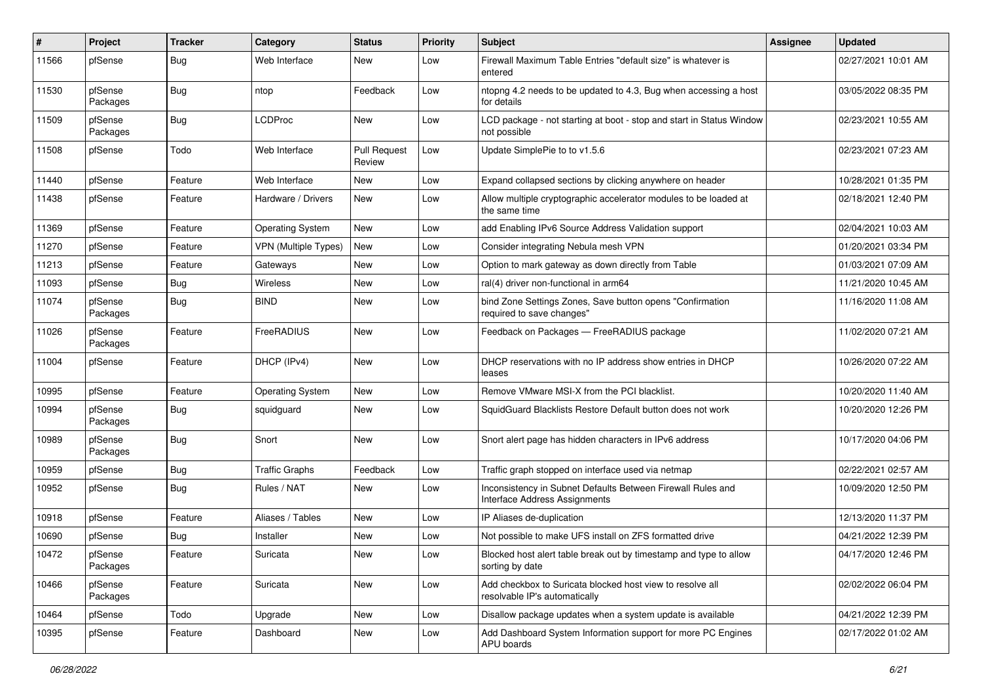| #     | <b>Project</b>      | <b>Tracker</b> | Category                    | <b>Status</b>                 | <b>Priority</b> | Subject                                                                                      | Assignee | <b>Updated</b>      |
|-------|---------------------|----------------|-----------------------------|-------------------------------|-----------------|----------------------------------------------------------------------------------------------|----------|---------------------|
| 11566 | pfSense             | Bug            | Web Interface               | New                           | Low             | Firewall Maximum Table Entries "default size" is whatever is<br>entered                      |          | 02/27/2021 10:01 AM |
| 11530 | pfSense<br>Packages | Bug            | ntop                        | Feedback                      | Low             | ntopng 4.2 needs to be updated to 4.3, Bug when accessing a host<br>for details              |          | 03/05/2022 08:35 PM |
| 11509 | pfSense<br>Packages | Bug            | <b>LCDProc</b>              | New                           | Low             | LCD package - not starting at boot - stop and start in Status Window<br>not possible         |          | 02/23/2021 10:55 AM |
| 11508 | pfSense             | Todo           | Web Interface               | <b>Pull Request</b><br>Review | Low             | Update SimplePie to to v1.5.6                                                                |          | 02/23/2021 07:23 AM |
| 11440 | pfSense             | Feature        | Web Interface               | New                           | Low             | Expand collapsed sections by clicking anywhere on header                                     |          | 10/28/2021 01:35 PM |
| 11438 | pfSense             | Feature        | Hardware / Drivers          | New                           | Low             | Allow multiple cryptographic accelerator modules to be loaded at<br>the same time            |          | 02/18/2021 12:40 PM |
| 11369 | pfSense             | Feature        | <b>Operating System</b>     | New                           | Low             | add Enabling IPv6 Source Address Validation support                                          |          | 02/04/2021 10:03 AM |
| 11270 | pfSense             | Feature        | <b>VPN</b> (Multiple Types) | New                           | Low             | Consider integrating Nebula mesh VPN                                                         |          | 01/20/2021 03:34 PM |
| 11213 | pfSense             | Feature        | Gateways                    | New                           | Low             | Option to mark gateway as down directly from Table                                           |          | 01/03/2021 07:09 AM |
| 11093 | pfSense             | Bug            | Wireless                    | <b>New</b>                    | Low             | ral(4) driver non-functional in arm64                                                        |          | 11/21/2020 10:45 AM |
| 11074 | pfSense<br>Packages | Bug            | <b>BIND</b>                 | <b>New</b>                    | Low             | bind Zone Settings Zones, Save button opens "Confirmation<br>required to save changes"       |          | 11/16/2020 11:08 AM |
| 11026 | pfSense<br>Packages | Feature        | FreeRADIUS                  | <b>New</b>                    | Low             | Feedback on Packages - FreeRADIUS package                                                    |          | 11/02/2020 07:21 AM |
| 11004 | pfSense             | Feature        | DHCP (IPv4)                 | <b>New</b>                    | Low             | DHCP reservations with no IP address show entries in DHCP<br>leases                          |          | 10/26/2020 07:22 AM |
| 10995 | pfSense             | Feature        | <b>Operating System</b>     | New                           | Low             | Remove VMware MSI-X from the PCI blacklist.                                                  |          | 10/20/2020 11:40 AM |
| 10994 | pfSense<br>Packages | <b>Bug</b>     | squidguard                  | New                           | Low             | SquidGuard Blacklists Restore Default button does not work                                   |          | 10/20/2020 12:26 PM |
| 10989 | pfSense<br>Packages | Bug            | Snort                       | <b>New</b>                    | Low             | Snort alert page has hidden characters in IPv6 address                                       |          | 10/17/2020 04:06 PM |
| 10959 | pfSense             | Bug            | <b>Traffic Graphs</b>       | Feedback                      | Low             | Traffic graph stopped on interface used via netmap                                           |          | 02/22/2021 02:57 AM |
| 10952 | pfSense             | Bug            | Rules / NAT                 | New                           | Low             | Inconsistency in Subnet Defaults Between Firewall Rules and<br>Interface Address Assignments |          | 10/09/2020 12:50 PM |
| 10918 | pfSense             | Feature        | Aliases / Tables            | <b>New</b>                    | Low             | IP Aliases de-duplication                                                                    |          | 12/13/2020 11:37 PM |
| 10690 | pfSense             | Bug            | Installer                   | New                           | Low             | Not possible to make UFS install on ZFS formatted drive                                      |          | 04/21/2022 12:39 PM |
| 10472 | pfSense<br>Packages | Feature        | Suricata                    | New                           | Low             | Blocked host alert table break out by timestamp and type to allow<br>sorting by date         |          | 04/17/2020 12:46 PM |
| 10466 | pfSense<br>Packages | Feature        | Suricata                    | New                           | Low             | Add checkbox to Suricata blocked host view to resolve all<br>resolvable IP's automatically   |          | 02/02/2022 06:04 PM |
| 10464 | pfSense             | Todo           | Upgrade                     | New                           | Low             | Disallow package updates when a system update is available                                   |          | 04/21/2022 12:39 PM |
| 10395 | pfSense             | Feature        | Dashboard                   | New                           | Low             | Add Dashboard System Information support for more PC Engines<br>APU boards                   |          | 02/17/2022 01:02 AM |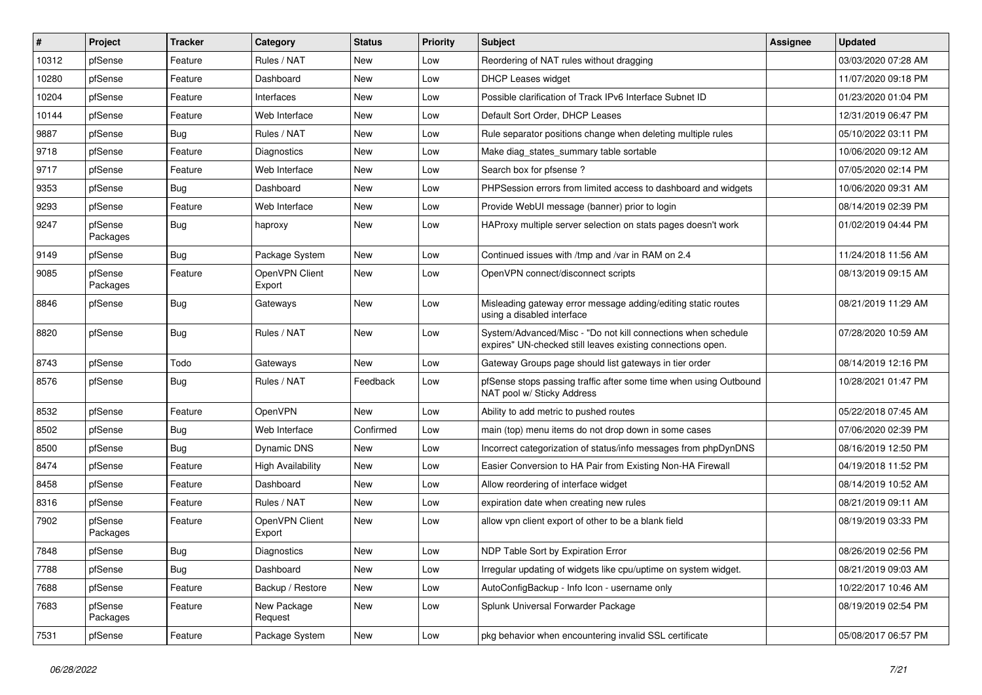| #     | Project             | <b>Tracker</b> | Category                 | <b>Status</b> | <b>Priority</b> | Subject                                                                                                                      | <b>Assignee</b> | <b>Updated</b>      |
|-------|---------------------|----------------|--------------------------|---------------|-----------------|------------------------------------------------------------------------------------------------------------------------------|-----------------|---------------------|
| 10312 | pfSense             | Feature        | Rules / NAT              | <b>New</b>    | Low             | Reordering of NAT rules without dragging                                                                                     |                 | 03/03/2020 07:28 AM |
| 10280 | pfSense             | Feature        | Dashboard                | New           | Low             | DHCP Leases widget                                                                                                           |                 | 11/07/2020 09:18 PM |
| 10204 | pfSense             | Feature        | Interfaces               | New           | Low             | Possible clarification of Track IPv6 Interface Subnet ID                                                                     |                 | 01/23/2020 01:04 PM |
| 10144 | pfSense             | Feature        | Web Interface            | New           | Low             | Default Sort Order, DHCP Leases                                                                                              |                 | 12/31/2019 06:47 PM |
| 9887  | pfSense             | Bug            | Rules / NAT              | <b>New</b>    | Low             | Rule separator positions change when deleting multiple rules                                                                 |                 | 05/10/2022 03:11 PM |
| 9718  | pfSense             | Feature        | Diagnostics              | New           | Low             | Make diag states summary table sortable                                                                                      |                 | 10/06/2020 09:12 AM |
| 9717  | pfSense             | Feature        | Web Interface            | New           | Low             | Search box for pfsense?                                                                                                      |                 | 07/05/2020 02:14 PM |
| 9353  | pfSense             | Bug            | Dashboard                | <b>New</b>    | Low             | PHPSession errors from limited access to dashboard and widgets                                                               |                 | 10/06/2020 09:31 AM |
| 9293  | pfSense             | Feature        | Web Interface            | New           | Low             | Provide WebUI message (banner) prior to login                                                                                |                 | 08/14/2019 02:39 PM |
| 9247  | pfSense<br>Packages | Bug            | haproxy                  | <b>New</b>    | Low             | HAProxy multiple server selection on stats pages doesn't work                                                                |                 | 01/02/2019 04:44 PM |
| 9149  | pfSense             | Bug            | Package System           | <b>New</b>    | Low             | Continued issues with /tmp and /var in RAM on 2.4                                                                            |                 | 11/24/2018 11:56 AM |
| 9085  | pfSense<br>Packages | Feature        | OpenVPN Client<br>Export | <b>New</b>    | Low             | OpenVPN connect/disconnect scripts                                                                                           |                 | 08/13/2019 09:15 AM |
| 8846  | pfSense             | Bug            | Gateways                 | New           | Low             | Misleading gateway error message adding/editing static routes<br>using a disabled interface                                  |                 | 08/21/2019 11:29 AM |
| 8820  | pfSense             | Bug            | Rules / NAT              | <b>New</b>    | Low             | System/Advanced/Misc - "Do not kill connections when schedule<br>expires" UN-checked still leaves existing connections open. |                 | 07/28/2020 10:59 AM |
| 8743  | pfSense             | Todo           | Gateways                 | New           | Low             | Gateway Groups page should list gateways in tier order                                                                       |                 | 08/14/2019 12:16 PM |
| 8576  | pfSense             | Bug            | Rules / NAT              | Feedback      | Low             | pfSense stops passing traffic after some time when using Outbound<br>NAT pool w/ Sticky Address                              |                 | 10/28/2021 01:47 PM |
| 8532  | pfSense             | Feature        | <b>OpenVPN</b>           | New           | Low             | Ability to add metric to pushed routes                                                                                       |                 | 05/22/2018 07:45 AM |
| 8502  | pfSense             | <b>Bug</b>     | Web Interface            | Confirmed     | Low             | main (top) menu items do not drop down in some cases                                                                         |                 | 07/06/2020 02:39 PM |
| 8500  | pfSense             | Bug            | Dynamic DNS              | New           | Low             | Incorrect categorization of status/info messages from phpDynDNS                                                              |                 | 08/16/2019 12:50 PM |
| 8474  | pfSense             | Feature        | High Availability        | New           | Low             | Easier Conversion to HA Pair from Existing Non-HA Firewall                                                                   |                 | 04/19/2018 11:52 PM |
| 8458  | pfSense             | Feature        | Dashboard                | <b>New</b>    | Low             | Allow reordering of interface widget                                                                                         |                 | 08/14/2019 10:52 AM |
| 8316  | pfSense             | Feature        | Rules / NAT              | New           | Low             | expiration date when creating new rules                                                                                      |                 | 08/21/2019 09:11 AM |
| 7902  | pfSense<br>Packages | Feature        | OpenVPN Client<br>Export | New           | Low             | allow vpn client export of other to be a blank field                                                                         |                 | 08/19/2019 03:33 PM |
| 7848  | pfSense             | Bug            | Diagnostics              | New           | Low             | NDP Table Sort by Expiration Error                                                                                           |                 | 08/26/2019 02:56 PM |
| 7788  | pfSense             | Bug            | Dashboard                | New           | Low             | Irregular updating of widgets like cpu/uptime on system widget.                                                              |                 | 08/21/2019 09:03 AM |
| 7688  | pfSense             | Feature        | Backup / Restore         | New           | Low             | AutoConfigBackup - Info Icon - username only                                                                                 |                 | 10/22/2017 10:46 AM |
| 7683  | pfSense<br>Packages | Feature        | New Package<br>Request   | New           | Low             | Splunk Universal Forwarder Package                                                                                           |                 | 08/19/2019 02:54 PM |
| 7531  | pfSense             | Feature        | Package System           | New           | Low             | pkg behavior when encountering invalid SSL certificate                                                                       |                 | 05/08/2017 06:57 PM |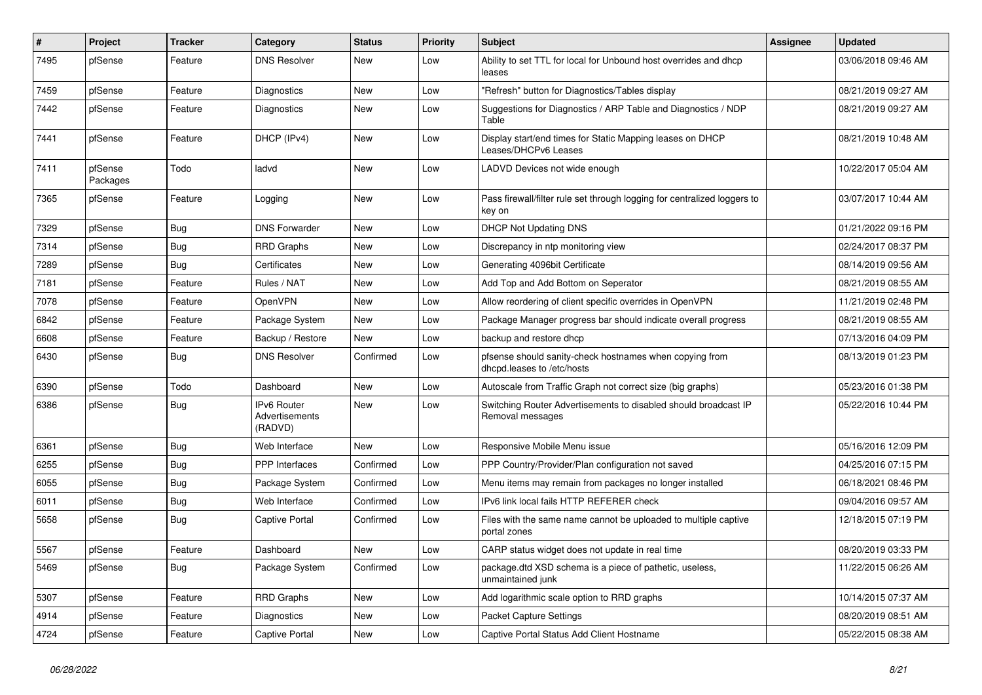| $\vert$ # | Project             | <b>Tracker</b> | Category                                 | <b>Status</b> | <b>Priority</b> | Subject                                                                               | Assignee | <b>Updated</b>      |
|-----------|---------------------|----------------|------------------------------------------|---------------|-----------------|---------------------------------------------------------------------------------------|----------|---------------------|
| 7495      | pfSense             | Feature        | <b>DNS Resolver</b>                      | New           | Low             | Ability to set TTL for local for Unbound host overrides and dhcp<br>leases            |          | 03/06/2018 09:46 AM |
| 7459      | pfSense             | Feature        | Diagnostics                              | New           | Low             | "Refresh" button for Diagnostics/Tables display                                       |          | 08/21/2019 09:27 AM |
| 7442      | pfSense             | Feature        | Diagnostics                              | New           | Low             | Suggestions for Diagnostics / ARP Table and Diagnostics / NDP<br>Table                |          | 08/21/2019 09:27 AM |
| 7441      | pfSense             | Feature        | DHCP (IPv4)                              | <b>New</b>    | Low             | Display start/end times for Static Mapping leases on DHCP<br>Leases/DHCPv6 Leases     |          | 08/21/2019 10:48 AM |
| 7411      | pfSense<br>Packages | Todo           | ladvd                                    | <b>New</b>    | Low             | LADVD Devices not wide enough                                                         |          | 10/22/2017 05:04 AM |
| 7365      | pfSense             | Feature        | Logging                                  | New           | Low             | Pass firewall/filter rule set through logging for centralized loggers to<br>key on    |          | 03/07/2017 10:44 AM |
| 7329      | pfSense             | Bug            | <b>DNS Forwarder</b>                     | <b>New</b>    | Low             | <b>DHCP Not Updating DNS</b>                                                          |          | 01/21/2022 09:16 PM |
| 7314      | pfSense             | Bug            | <b>RRD Graphs</b>                        | <b>New</b>    | Low             | Discrepancy in ntp monitoring view                                                    |          | 02/24/2017 08:37 PM |
| 7289      | pfSense             | Bug            | Certificates                             | New           | Low             | Generating 4096bit Certificate                                                        |          | 08/14/2019 09:56 AM |
| 7181      | pfSense             | Feature        | Rules / NAT                              | New           | Low             | Add Top and Add Bottom on Seperator                                                   |          | 08/21/2019 08:55 AM |
| 7078      | pfSense             | Feature        | OpenVPN                                  | <b>New</b>    | Low             | Allow reordering of client specific overrides in OpenVPN                              |          | 11/21/2019 02:48 PM |
| 6842      | pfSense             | Feature        | Package System                           | New           | Low             | Package Manager progress bar should indicate overall progress                         |          | 08/21/2019 08:55 AM |
| 6608      | pfSense             | Feature        | Backup / Restore                         | New           | Low             | backup and restore dhcp                                                               |          | 07/13/2016 04:09 PM |
| 6430      | pfSense             | <b>Bug</b>     | <b>DNS Resolver</b>                      | Confirmed     | Low             | pfsense should sanity-check hostnames when copying from<br>dhcpd.leases to /etc/hosts |          | 08/13/2019 01:23 PM |
| 6390      | pfSense             | Todo           | Dashboard                                | New           | Low             | Autoscale from Traffic Graph not correct size (big graphs)                            |          | 05/23/2016 01:38 PM |
| 6386      | pfSense             | Bug            | IPv6 Router<br>Advertisements<br>(RADVD) | <b>New</b>    | Low             | Switching Router Advertisements to disabled should broadcast IP<br>Removal messages   |          | 05/22/2016 10:44 PM |
| 6361      | pfSense             | Bug            | Web Interface                            | New           | Low             | Responsive Mobile Menu issue                                                          |          | 05/16/2016 12:09 PM |
| 6255      | pfSense             | Bug            | <b>PPP</b> Interfaces                    | Confirmed     | Low             | PPP Country/Provider/Plan configuration not saved                                     |          | 04/25/2016 07:15 PM |
| 6055      | pfSense             | Bug            | Package System                           | Confirmed     | Low             | Menu items may remain from packages no longer installed                               |          | 06/18/2021 08:46 PM |
| 6011      | pfSense             | <b>Bug</b>     | Web Interface                            | Confirmed     | Low             | IPv6 link local fails HTTP REFERER check                                              |          | 09/04/2016 09:57 AM |
| 5658      | pfSense             | Bug            | <b>Captive Portal</b>                    | Confirmed     | Low             | Files with the same name cannot be uploaded to multiple captive<br>portal zones       |          | 12/18/2015 07:19 PM |
| 5567      | pfSense             | Feature        | Dashboard                                | New           | Low             | CARP status widget does not update in real time                                       |          | 08/20/2019 03:33 PM |
| 5469      | pfSense             | <b>Bug</b>     | Package System                           | Confirmed     | Low             | package.dtd XSD schema is a piece of pathetic, useless,<br>unmaintained junk          |          | 11/22/2015 06:26 AM |
| 5307      | pfSense             | Feature        | <b>RRD Graphs</b>                        | New           | Low             | Add logarithmic scale option to RRD graphs                                            |          | 10/14/2015 07:37 AM |
| 4914      | pfSense             | Feature        | <b>Diagnostics</b>                       | New           | Low             | Packet Capture Settings                                                               |          | 08/20/2019 08:51 AM |
| 4724      | pfSense             | Feature        | <b>Captive Portal</b>                    | New           | Low             | Captive Portal Status Add Client Hostname                                             |          | 05/22/2015 08:38 AM |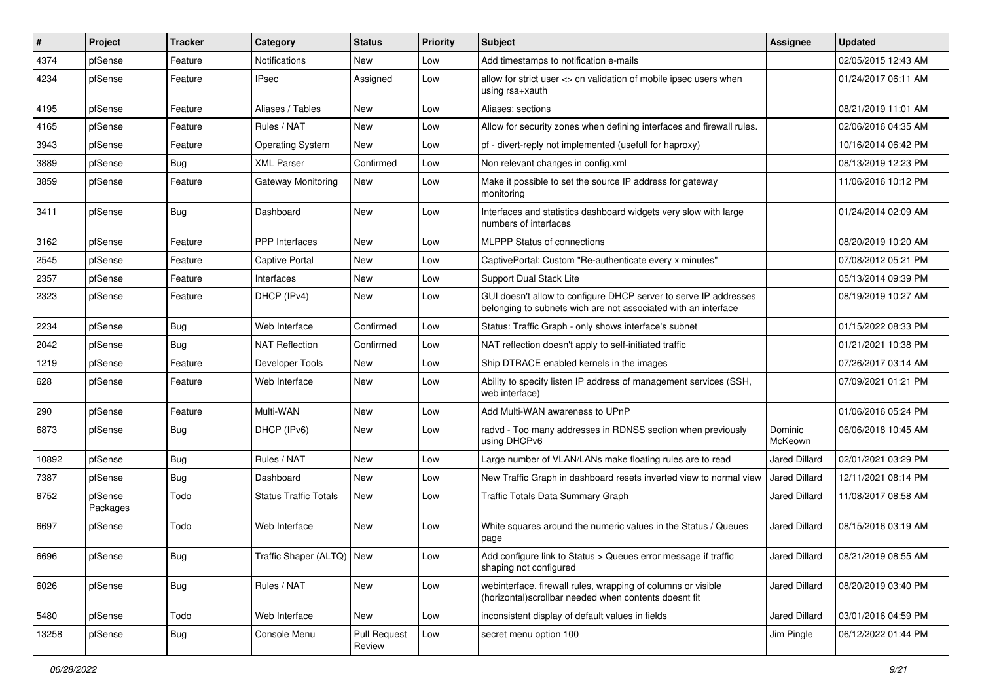| #     | Project             | <b>Tracker</b> | Category                     | <b>Status</b>                 | <b>Priority</b> | <b>Subject</b>                                                                                                                     | <b>Assignee</b>      | <b>Updated</b>      |
|-------|---------------------|----------------|------------------------------|-------------------------------|-----------------|------------------------------------------------------------------------------------------------------------------------------------|----------------------|---------------------|
| 4374  | pfSense             | Feature        | <b>Notifications</b>         | New                           | Low             | Add timestamps to notification e-mails                                                                                             |                      | 02/05/2015 12:43 AM |
| 4234  | pfSense             | Feature        | <b>IPsec</b>                 | Assigned                      | Low             | allow for strict user <> cn validation of mobile ipsec users when<br>using rsa+xauth                                               |                      | 01/24/2017 06:11 AM |
| 4195  | pfSense             | Feature        | Aliases / Tables             | <b>New</b>                    | Low             | Aliases: sections                                                                                                                  |                      | 08/21/2019 11:01 AM |
| 4165  | pfSense             | Feature        | Rules / NAT                  | New                           | Low             | Allow for security zones when defining interfaces and firewall rules.                                                              |                      | 02/06/2016 04:35 AM |
| 3943  | pfSense             | Feature        | <b>Operating System</b>      | New                           | Low             | pf - divert-reply not implemented (usefull for haproxy)                                                                            |                      | 10/16/2014 06:42 PM |
| 3889  | pfSense             | <b>Bug</b>     | <b>XML Parser</b>            | Confirmed                     | Low             | Non relevant changes in config.xml                                                                                                 |                      | 08/13/2019 12:23 PM |
| 3859  | pfSense             | Feature        | <b>Gateway Monitoring</b>    | New                           | Low             | Make it possible to set the source IP address for gateway<br>monitoring                                                            |                      | 11/06/2016 10:12 PM |
| 3411  | pfSense             | <b>Bug</b>     | Dashboard                    | New                           | Low             | Interfaces and statistics dashboard widgets very slow with large<br>numbers of interfaces                                          |                      | 01/24/2014 02:09 AM |
| 3162  | pfSense             | Feature        | <b>PPP</b> Interfaces        | <b>New</b>                    | Low             | MLPPP Status of connections                                                                                                        |                      | 08/20/2019 10:20 AM |
| 2545  | pfSense             | Feature        | <b>Captive Portal</b>        | <b>New</b>                    | Low             | CaptivePortal: Custom "Re-authenticate every x minutes"                                                                            |                      | 07/08/2012 05:21 PM |
| 2357  | pfSense             | Feature        | Interfaces                   | New                           | Low             | <b>Support Dual Stack Lite</b>                                                                                                     |                      | 05/13/2014 09:39 PM |
| 2323  | pfSense             | Feature        | DHCP (IPv4)                  | New                           | Low             | GUI doesn't allow to configure DHCP server to serve IP addresses<br>belonging to subnets wich are not associated with an interface |                      | 08/19/2019 10:27 AM |
| 2234  | pfSense             | Bug            | Web Interface                | Confirmed                     | Low             | Status: Traffic Graph - only shows interface's subnet                                                                              |                      | 01/15/2022 08:33 PM |
| 2042  | pfSense             | Bug            | <b>NAT Reflection</b>        | Confirmed                     | Low             | NAT reflection doesn't apply to self-initiated traffic                                                                             |                      | 01/21/2021 10:38 PM |
| 1219  | pfSense             | Feature        | Developer Tools              | New                           | Low             | Ship DTRACE enabled kernels in the images                                                                                          |                      | 07/26/2017 03:14 AM |
| 628   | pfSense             | Feature        | Web Interface                | New                           | Low             | Ability to specify listen IP address of management services (SSH,<br>web interface)                                                |                      | 07/09/2021 01:21 PM |
| 290   | pfSense             | Feature        | Multi-WAN                    | New                           | Low             | Add Multi-WAN awareness to UPnP                                                                                                    |                      | 01/06/2016 05:24 PM |
| 6873  | pfSense             | Bug            | DHCP (IPv6)                  | New                           | Low             | radvd - Too many addresses in RDNSS section when previously<br>using DHCPv6                                                        | Dominic<br>McKeown   | 06/06/2018 10:45 AM |
| 10892 | pfSense             | Bug            | Rules / NAT                  | New                           | Low             | Large number of VLAN/LANs make floating rules are to read                                                                          | Jared Dillard        | 02/01/2021 03:29 PM |
| 7387  | pfSense             | Bug            | Dashboard                    | <b>New</b>                    | Low             | New Traffic Graph in dashboard resets inverted view to normal view                                                                 | <b>Jared Dillard</b> | 12/11/2021 08:14 PM |
| 6752  | pfSense<br>Packages | Todo           | <b>Status Traffic Totals</b> | New                           | Low             | Traffic Totals Data Summary Graph                                                                                                  | <b>Jared Dillard</b> | 11/08/2017 08:58 AM |
| 6697  | pfSense             | Todo           | Web Interface                | New                           | Low             | White squares around the numeric values in the Status / Queues<br>page                                                             | <b>Jared Dillard</b> | 08/15/2016 03:19 AM |
| 6696  | pfSense             | <b>Bug</b>     | Traffic Shaper (ALTQ) New    |                               | LOW             | Add configure link to Status > Queues error message if traffic<br>shaping not configured                                           | Jared Dillard        | 08/21/2019 08:55 AM |
| 6026  | pfSense             | Bug            | Rules / NAT                  | New                           | Low             | webinterface, firewall rules, wrapping of columns or visible<br>(horizontal) scrollbar needed when contents doesnt fit             | Jared Dillard        | 08/20/2019 03:40 PM |
| 5480  | pfSense             | Todo           | Web Interface                | New                           | Low             | inconsistent display of default values in fields                                                                                   | Jared Dillard        | 03/01/2016 04:59 PM |
| 13258 | pfSense             | <b>Bug</b>     | Console Menu                 | <b>Pull Request</b><br>Review | Low             | secret menu option 100                                                                                                             | Jim Pingle           | 06/12/2022 01:44 PM |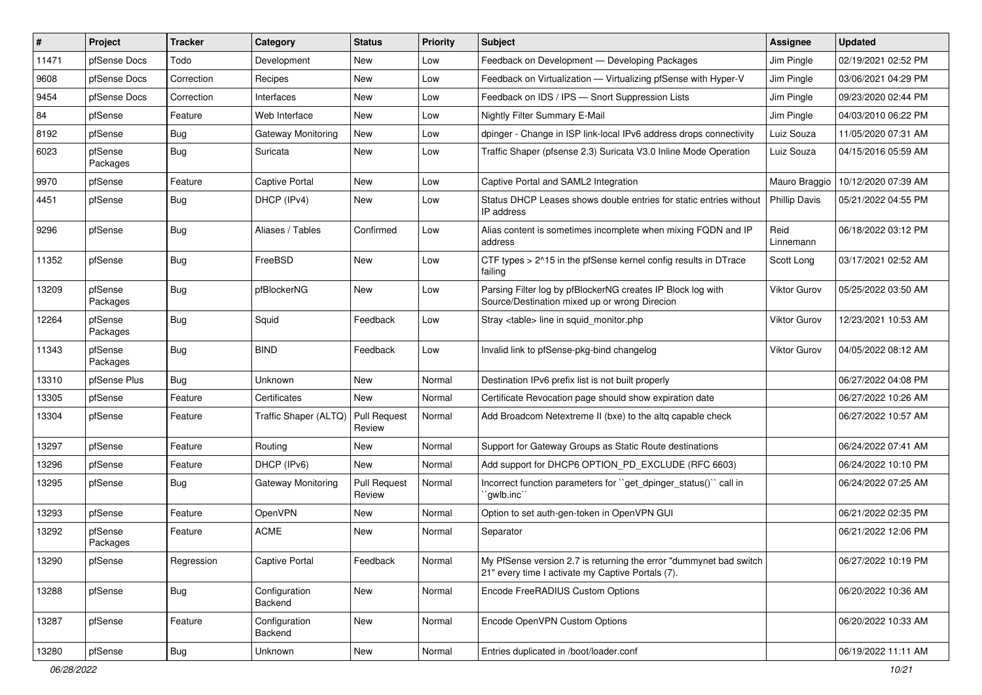| #     | Project             | <b>Tracker</b> | Category                  | <b>Status</b>                 | <b>Priority</b> | <b>Subject</b>                                                                                                          | <b>Assignee</b>      | <b>Updated</b>      |
|-------|---------------------|----------------|---------------------------|-------------------------------|-----------------|-------------------------------------------------------------------------------------------------------------------------|----------------------|---------------------|
| 11471 | pfSense Docs        | Todo           | Development               | <b>New</b>                    | Low             | Feedback on Development - Developing Packages                                                                           | Jim Pingle           | 02/19/2021 02:52 PM |
| 9608  | pfSense Docs        | Correction     | Recipes                   | New                           | Low             | Feedback on Virtualization - Virtualizing pfSense with Hyper-V                                                          | Jim Pingle           | 03/06/2021 04:29 PM |
| 9454  | pfSense Docs        | Correction     | Interfaces                | New                           | Low             | Feedback on IDS / IPS - Snort Suppression Lists                                                                         | Jim Pingle           | 09/23/2020 02:44 PM |
| 84    | pfSense             | Feature        | Web Interface             | New                           | Low             | Nightly Filter Summary E-Mail                                                                                           | Jim Pingle           | 04/03/2010 06:22 PM |
| 8192  | pfSense             | Bug            | <b>Gateway Monitoring</b> | New                           | Low             | dpinger - Change in ISP link-local IPv6 address drops connectivity                                                      | Luiz Souza           | 11/05/2020 07:31 AM |
| 6023  | pfSense<br>Packages | <b>Bug</b>     | Suricata                  | New                           | Low             | Traffic Shaper (pfsense 2.3) Suricata V3.0 Inline Mode Operation                                                        | Luiz Souza           | 04/15/2016 05:59 AM |
| 9970  | pfSense             | Feature        | <b>Captive Portal</b>     | <b>New</b>                    | Low             | Captive Portal and SAML2 Integration                                                                                    | Mauro Braggio        | 10/12/2020 07:39 AM |
| 4451  | pfSense             | Bug            | DHCP (IPv4)               | New                           | Low             | Status DHCP Leases shows double entries for static entries without<br>IP address                                        | <b>Phillip Davis</b> | 05/21/2022 04:55 PM |
| 9296  | pfSense             | Bug            | Aliases / Tables          | Confirmed                     | Low             | Alias content is sometimes incomplete when mixing FQDN and IP<br>address                                                | Reid<br>Linnemann    | 06/18/2022 03:12 PM |
| 11352 | pfSense             | Bug            | FreeBSD                   | <b>New</b>                    | Low             | CTF types > 2^15 in the pfSense kernel config results in DTrace<br>failing                                              | Scott Long           | 03/17/2021 02:52 AM |
| 13209 | pfSense<br>Packages | Bug            | pfBlockerNG               | New                           | Low             | Parsing Filter log by pfBlockerNG creates IP Block log with<br>Source/Destination mixed up or wrong Direcion            | <b>Viktor Gurov</b>  | 05/25/2022 03:50 AM |
| 12264 | pfSense<br>Packages | <b>Bug</b>     | Squid                     | Feedback                      | Low             | Stray <table> line in squid monitor.php</table>                                                                         | <b>Viktor Gurov</b>  | 12/23/2021 10:53 AM |
| 11343 | pfSense<br>Packages | Bug            | <b>BIND</b>               | Feedback                      | Low             | Invalid link to pfSense-pkg-bind changelog                                                                              | <b>Viktor Gurov</b>  | 04/05/2022 08:12 AM |
| 13310 | pfSense Plus        | Bug            | Unknown                   | New                           | Normal          | Destination IPv6 prefix list is not built properly                                                                      |                      | 06/27/2022 04:08 PM |
| 13305 | pfSense             | Feature        | Certificates              | <b>New</b>                    | Normal          | Certificate Revocation page should show expiration date                                                                 |                      | 06/27/2022 10:26 AM |
| 13304 | pfSense             | Feature        | Traffic Shaper (ALTQ)     | Pull Request<br>Review        | Normal          | Add Broadcom Netextreme II (bxe) to the altg capable check                                                              |                      | 06/27/2022 10:57 AM |
| 13297 | pfSense             | Feature        | Routing                   | New                           | Normal          | Support for Gateway Groups as Static Route destinations                                                                 |                      | 06/24/2022 07:41 AM |
| 13296 | pfSense             | Feature        | DHCP (IPv6)               | New                           | Normal          | Add support for DHCP6 OPTION_PD_EXCLUDE (RFC 6603)                                                                      |                      | 06/24/2022 10:10 PM |
| 13295 | pfSense             | <b>Bug</b>     | <b>Gateway Monitoring</b> | <b>Pull Request</b><br>Review | Normal          | Incorrect function parameters for "get dpinger status()" call in<br>`qwlb.inc``                                         |                      | 06/24/2022 07:25 AM |
| 13293 | pfSense             | Feature        | OpenVPN                   | New                           | Normal          | Option to set auth-gen-token in OpenVPN GUI                                                                             |                      | 06/21/2022 02:35 PM |
| 13292 | pfSense<br>Packages | Feature        | <b>ACME</b>               | <b>New</b>                    | Normal          | Separator                                                                                                               |                      | 06/21/2022 12:06 PM |
| 13290 | pfSense             | Regression     | Captive Portal            | Feedback                      | Normal          | My PfSense version 2.7 is returning the error "dummynet bad switch<br>21" every time I activate my Captive Portals (7). |                      | 06/27/2022 10:19 PM |
| 13288 | pfSense             | <b>Bug</b>     | Configuration<br>Backend  | New                           | Normal          | Encode FreeRADIUS Custom Options                                                                                        |                      | 06/20/2022 10:36 AM |
| 13287 | pfSense             | Feature        | Configuration<br>Backend  | New                           | Normal          | Encode OpenVPN Custom Options                                                                                           |                      | 06/20/2022 10:33 AM |
| 13280 | pfSense             | <b>Bug</b>     | Unknown                   | New                           | Normal          | Entries duplicated in /boot/loader.conf                                                                                 |                      | 06/19/2022 11:11 AM |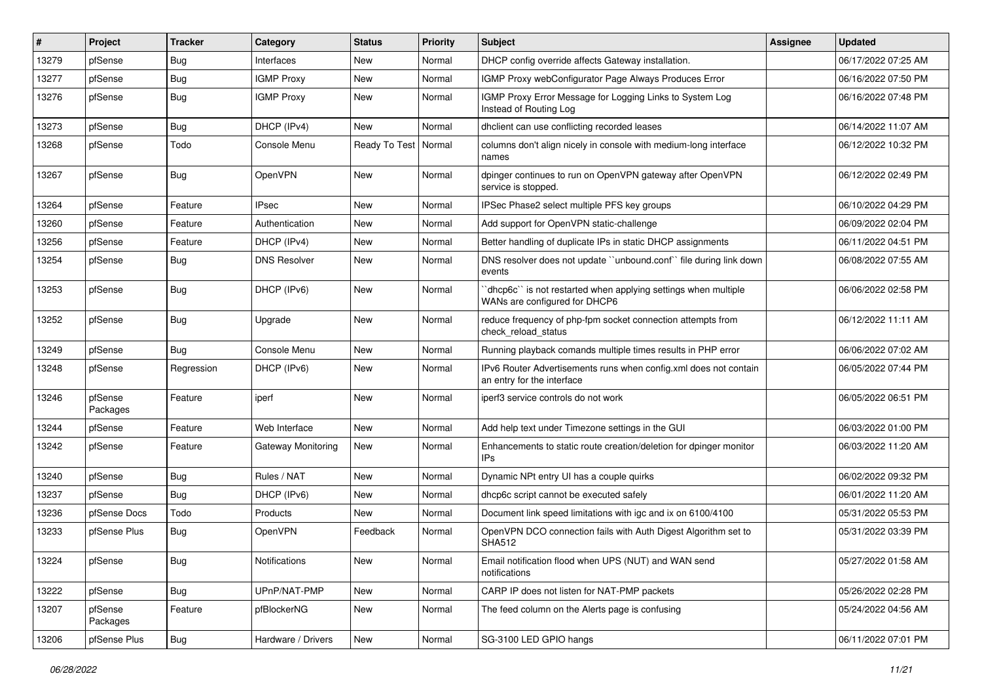| #     | Project             | <b>Tracker</b> | Category            | <b>Status</b>          | <b>Priority</b> | Subject                                                                                        | <b>Assignee</b> | <b>Updated</b>      |
|-------|---------------------|----------------|---------------------|------------------------|-----------------|------------------------------------------------------------------------------------------------|-----------------|---------------------|
| 13279 | pfSense             | Bug            | Interfaces          | New                    | Normal          | DHCP config override affects Gateway installation.                                             |                 | 06/17/2022 07:25 AM |
| 13277 | pfSense             | Bug            | <b>IGMP Proxy</b>   | New                    | Normal          | IGMP Proxy webConfigurator Page Always Produces Error                                          |                 | 06/16/2022 07:50 PM |
| 13276 | pfSense             | Bug            | <b>IGMP Proxy</b>   | New                    | Normal          | IGMP Proxy Error Message for Logging Links to System Log<br>Instead of Routing Log             |                 | 06/16/2022 07:48 PM |
| 13273 | pfSense             | Bug            | DHCP (IPv4)         | New                    | Normal          | dhclient can use conflicting recorded leases                                                   |                 | 06/14/2022 11:07 AM |
| 13268 | pfSense             | Todo           | Console Menu        | Ready To Test   Normal |                 | columns don't align nicely in console with medium-long interface<br>names                      |                 | 06/12/2022 10:32 PM |
| 13267 | pfSense             | Bug            | OpenVPN             | New                    | Normal          | dpinger continues to run on OpenVPN gateway after OpenVPN<br>service is stopped.               |                 | 06/12/2022 02:49 PM |
| 13264 | pfSense             | Feature        | <b>IPsec</b>        | New                    | Normal          | IPSec Phase2 select multiple PFS key groups                                                    |                 | 06/10/2022 04:29 PM |
| 13260 | pfSense             | Feature        | Authentication      | New                    | Normal          | Add support for OpenVPN static-challenge                                                       |                 | 06/09/2022 02:04 PM |
| 13256 | pfSense             | Feature        | DHCP (IPv4)         | New                    | Normal          | Better handling of duplicate IPs in static DHCP assignments                                    |                 | 06/11/2022 04:51 PM |
| 13254 | pfSense             | Bug            | <b>DNS Resolver</b> | New                    | Normal          | DNS resolver does not update "unbound.conf" file during link down<br>events                    |                 | 06/08/2022 07:55 AM |
| 13253 | pfSense             | Bug            | DHCP (IPv6)         | New                    | Normal          | dhcp6c" is not restarted when applying settings when multiple<br>WANs are configured for DHCP6 |                 | 06/06/2022 02:58 PM |
| 13252 | pfSense             | Bug            | Upgrade             | New                    | Normal          | reduce frequency of php-fpm socket connection attempts from<br>check reload status             |                 | 06/12/2022 11:11 AM |
| 13249 | pfSense             | Bug            | Console Menu        | New                    | Normal          | Running playback comands multiple times results in PHP error                                   |                 | 06/06/2022 07:02 AM |
| 13248 | pfSense             | Regression     | DHCP (IPv6)         | New                    | Normal          | IPv6 Router Advertisements runs when config.xml does not contain<br>an entry for the interface |                 | 06/05/2022 07:44 PM |
| 13246 | pfSense<br>Packages | Feature        | iperf               | New                    | Normal          | iperf3 service controls do not work                                                            |                 | 06/05/2022 06:51 PM |
| 13244 | pfSense             | Feature        | Web Interface       | New                    | Normal          | Add help text under Timezone settings in the GUI                                               |                 | 06/03/2022 01:00 PM |
| 13242 | pfSense             | Feature        | Gateway Monitoring  | New                    | Normal          | Enhancements to static route creation/deletion for dpinger monitor<br>IPs                      |                 | 06/03/2022 11:20 AM |
| 13240 | pfSense             | Bug            | Rules / NAT         | New                    | Normal          | Dynamic NPt entry UI has a couple quirks                                                       |                 | 06/02/2022 09:32 PM |
| 13237 | pfSense             | Bug            | DHCP (IPv6)         | New                    | Normal          | dhcp6c script cannot be executed safely                                                        |                 | 06/01/2022 11:20 AM |
| 13236 | pfSense Docs        | Todo           | Products            | New                    | Normal          | Document link speed limitations with igc and ix on 6100/4100                                   |                 | 05/31/2022 05:53 PM |
| 13233 | pfSense Plus        | <b>Bug</b>     | OpenVPN             | Feedback               | Normal          | OpenVPN DCO connection fails with Auth Digest Algorithm set to<br><b>SHA512</b>                |                 | 05/31/2022 03:39 PM |
| 13224 | pfSense             | <b>Bug</b>     | Notifications       | New                    | Normal          | Email notification flood when UPS (NUT) and WAN send<br>notifications                          |                 | 05/27/2022 01:58 AM |
| 13222 | pfSense             | Bug            | UPnP/NAT-PMP        | New                    | Normal          | CARP IP does not listen for NAT-PMP packets                                                    |                 | 05/26/2022 02:28 PM |
| 13207 | pfSense<br>Packages | Feature        | pfBlockerNG         | New                    | Normal          | The feed column on the Alerts page is confusing                                                |                 | 05/24/2022 04:56 AM |
| 13206 | pfSense Plus        | <b>Bug</b>     | Hardware / Drivers  | New                    | Normal          | SG-3100 LED GPIO hangs                                                                         |                 | 06/11/2022 07:01 PM |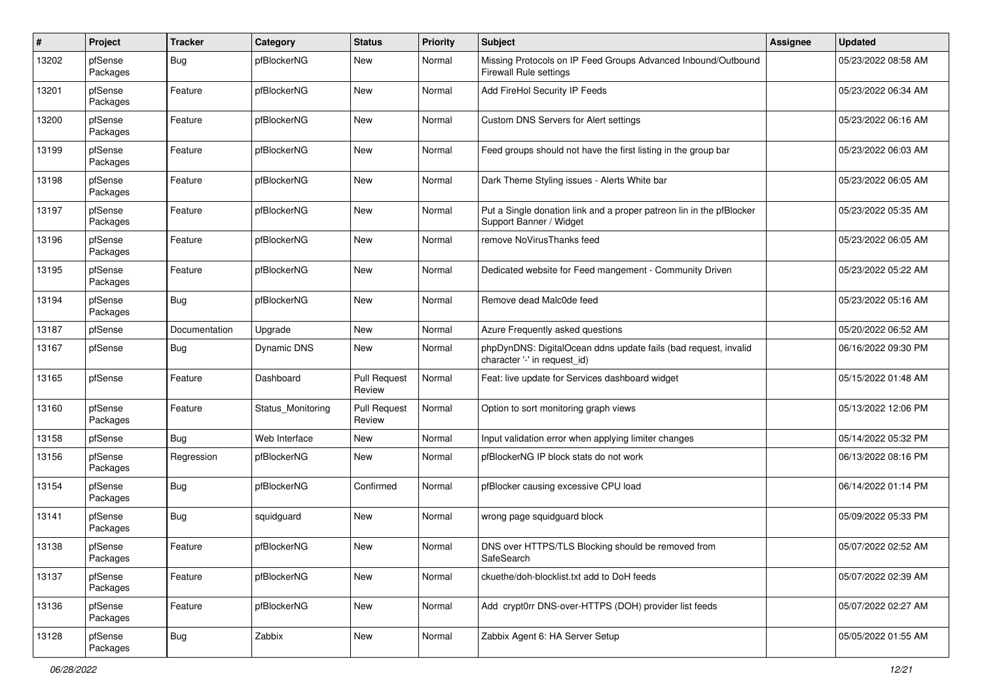| $\pmb{\#}$ | Project             | <b>Tracker</b> | Category           | <b>Status</b>                 | <b>Priority</b> | <b>Subject</b>                                                                                  | <b>Assignee</b> | <b>Updated</b>      |
|------------|---------------------|----------------|--------------------|-------------------------------|-----------------|-------------------------------------------------------------------------------------------------|-----------------|---------------------|
| 13202      | pfSense<br>Packages | Bug            | pfBlockerNG        | New                           | Normal          | Missing Protocols on IP Feed Groups Advanced Inbound/Outbound<br><b>Firewall Rule settings</b>  |                 | 05/23/2022 08:58 AM |
| 13201      | pfSense<br>Packages | Feature        | pfBlockerNG        | <b>New</b>                    | Normal          | Add FireHol Security IP Feeds                                                                   |                 | 05/23/2022 06:34 AM |
| 13200      | pfSense<br>Packages | Feature        | pfBlockerNG        | New                           | Normal          | Custom DNS Servers for Alert settings                                                           |                 | 05/23/2022 06:16 AM |
| 13199      | pfSense<br>Packages | Feature        | pfBlockerNG        | New                           | Normal          | Feed groups should not have the first listing in the group bar                                  |                 | 05/23/2022 06:03 AM |
| 13198      | pfSense<br>Packages | Feature        | pfBlockerNG        | New                           | Normal          | Dark Theme Styling issues - Alerts White bar                                                    |                 | 05/23/2022 06:05 AM |
| 13197      | pfSense<br>Packages | Feature        | pfBlockerNG        | New                           | Normal          | Put a Single donation link and a proper patreon lin in the pfBlocker<br>Support Banner / Widget |                 | 05/23/2022 05:35 AM |
| 13196      | pfSense<br>Packages | Feature        | pfBlockerNG        | New                           | Normal          | remove NoVirusThanks feed                                                                       |                 | 05/23/2022 06:05 AM |
| 13195      | pfSense<br>Packages | Feature        | pfBlockerNG        | New                           | Normal          | Dedicated website for Feed mangement - Community Driven                                         |                 | 05/23/2022 05:22 AM |
| 13194      | pfSense<br>Packages | Bug            | pfBlockerNG        | <b>New</b>                    | Normal          | Remove dead Malc0de feed                                                                        |                 | 05/23/2022 05:16 AM |
| 13187      | pfSense             | Documentation  | Upgrade            | New                           | Normal          | Azure Frequently asked questions                                                                |                 | 05/20/2022 06:52 AM |
| 13167      | pfSense             | Bug            | <b>Dynamic DNS</b> | New                           | Normal          | phpDynDNS: DigitalOcean ddns update fails (bad request, invalid<br>character '-' in request_id) |                 | 06/16/2022 09:30 PM |
| 13165      | pfSense             | Feature        | Dashboard          | <b>Pull Request</b><br>Review | Normal          | Feat: live update for Services dashboard widget                                                 |                 | 05/15/2022 01:48 AM |
| 13160      | pfSense<br>Packages | Feature        | Status Monitoring  | <b>Pull Request</b><br>Review | Normal          | Option to sort monitoring graph views                                                           |                 | 05/13/2022 12:06 PM |
| 13158      | pfSense             | Bug            | Web Interface      | New                           | Normal          | Input validation error when applying limiter changes                                            |                 | 05/14/2022 05:32 PM |
| 13156      | pfSense<br>Packages | Regression     | pfBlockerNG        | New                           | Normal          | pfBlockerNG IP block stats do not work                                                          |                 | 06/13/2022 08:16 PM |
| 13154      | pfSense<br>Packages | Bug            | pfBlockerNG        | Confirmed                     | Normal          | pfBlocker causing excessive CPU load                                                            |                 | 06/14/2022 01:14 PM |
| 13141      | pfSense<br>Packages | Bug            | squidguard         | New                           | Normal          | wrong page squidguard block                                                                     |                 | 05/09/2022 05:33 PM |
| 13138      | pfSense<br>Packages | Feature        | pfBlockerNG        | New                           | Normal          | DNS over HTTPS/TLS Blocking should be removed from<br>SafeSearch                                |                 | 05/07/2022 02:52 AM |
| 13137      | pfSense<br>Packages | Feature        | pfBlockerNG        | New                           | Normal          | ckuethe/doh-blocklist.txt add to DoH feeds                                                      |                 | 05/07/2022 02:39 AM |
| 13136      | pfSense<br>Packages | Feature        | pfBlockerNG        | New                           | Normal          | Add crypt0rr DNS-over-HTTPS (DOH) provider list feeds                                           |                 | 05/07/2022 02:27 AM |
| 13128      | pfSense<br>Packages | <b>Bug</b>     | Zabbix             | New                           | Normal          | Zabbix Agent 6: HA Server Setup                                                                 |                 | 05/05/2022 01:55 AM |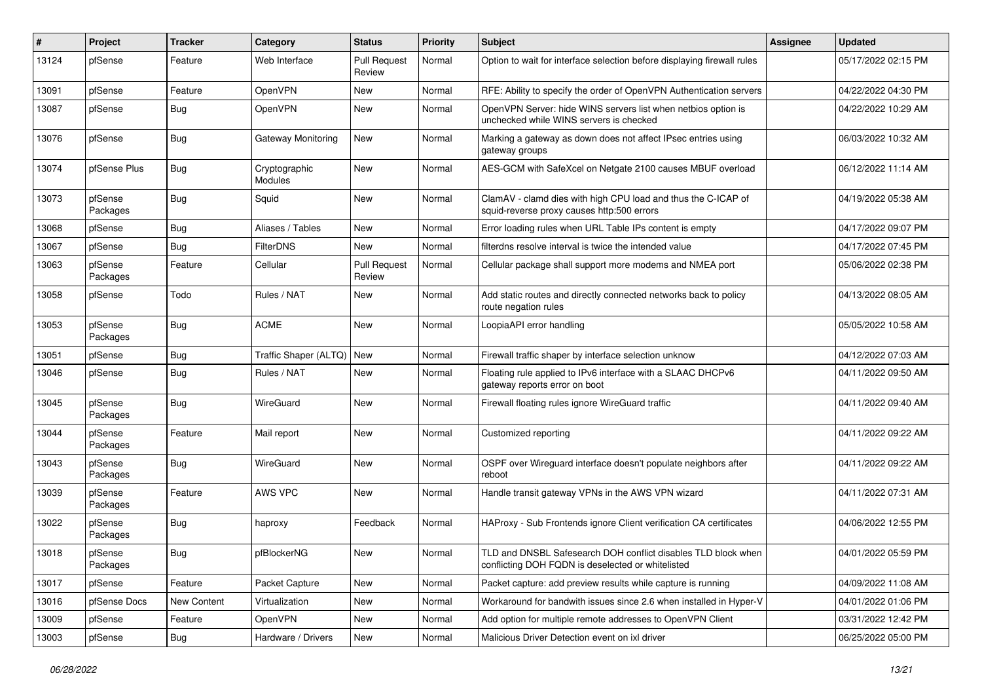| #     | Project             | <b>Tracker</b> | Category                        | <b>Status</b>                 | <b>Priority</b> | <b>Subject</b>                                                                                                     | <b>Assignee</b> | <b>Updated</b>      |
|-------|---------------------|----------------|---------------------------------|-------------------------------|-----------------|--------------------------------------------------------------------------------------------------------------------|-----------------|---------------------|
| 13124 | pfSense             | Feature        | Web Interface                   | <b>Pull Request</b><br>Review | Normal          | Option to wait for interface selection before displaying firewall rules                                            |                 | 05/17/2022 02:15 PM |
| 13091 | pfSense             | Feature        | OpenVPN                         | New                           | Normal          | RFE: Ability to specify the order of OpenVPN Authentication servers                                                |                 | 04/22/2022 04:30 PM |
| 13087 | pfSense             | <b>Bug</b>     | OpenVPN                         | New                           | Normal          | OpenVPN Server: hide WINS servers list when netbios option is<br>unchecked while WINS servers is checked           |                 | 04/22/2022 10:29 AM |
| 13076 | pfSense             | Bug            | Gateway Monitoring              | New                           | Normal          | Marking a gateway as down does not affect IPsec entries using<br>gateway groups                                    |                 | 06/03/2022 10:32 AM |
| 13074 | pfSense Plus        | Bug            | Cryptographic<br><b>Modules</b> | New                           | Normal          | AES-GCM with SafeXcel on Netgate 2100 causes MBUF overload                                                         |                 | 06/12/2022 11:14 AM |
| 13073 | pfSense<br>Packages | <b>Bug</b>     | Squid                           | New                           | Normal          | ClamAV - clamd dies with high CPU load and thus the C-ICAP of<br>squid-reverse proxy causes http:500 errors        |                 | 04/19/2022 05:38 AM |
| 13068 | pfSense             | <b>Bug</b>     | Aliases / Tables                | New                           | Normal          | Error loading rules when URL Table IPs content is empty                                                            |                 | 04/17/2022 09:07 PM |
| 13067 | pfSense             | Bug            | <b>FilterDNS</b>                | <b>New</b>                    | Normal          | filterdns resolve interval is twice the intended value                                                             |                 | 04/17/2022 07:45 PM |
| 13063 | pfSense<br>Packages | Feature        | Cellular                        | <b>Pull Request</b><br>Review | Normal          | Cellular package shall support more modems and NMEA port                                                           |                 | 05/06/2022 02:38 PM |
| 13058 | pfSense             | Todo           | Rules / NAT                     | New                           | Normal          | Add static routes and directly connected networks back to policy<br>route negation rules                           |                 | 04/13/2022 08:05 AM |
| 13053 | pfSense<br>Packages | Bug            | <b>ACME</b>                     | New                           | Normal          | LoopiaAPI error handling                                                                                           |                 | 05/05/2022 10:58 AM |
| 13051 | pfSense             | Bug            | Traffic Shaper (ALTQ)           | New                           | Normal          | Firewall traffic shaper by interface selection unknow                                                              |                 | 04/12/2022 07:03 AM |
| 13046 | pfSense             | <b>Bug</b>     | Rules / NAT                     | New                           | Normal          | Floating rule applied to IPv6 interface with a SLAAC DHCPv6<br>gateway reports error on boot                       |                 | 04/11/2022 09:50 AM |
| 13045 | pfSense<br>Packages | Bug            | WireGuard                       | <b>New</b>                    | Normal          | Firewall floating rules ignore WireGuard traffic                                                                   |                 | 04/11/2022 09:40 AM |
| 13044 | pfSense<br>Packages | Feature        | Mail report                     | New                           | Normal          | Customized reporting                                                                                               |                 | 04/11/2022 09:22 AM |
| 13043 | pfSense<br>Packages | Bug            | WireGuard                       | New                           | Normal          | OSPF over Wireguard interface doesn't populate neighbors after<br>reboot                                           |                 | 04/11/2022 09:22 AM |
| 13039 | pfSense<br>Packages | Feature        | AWS VPC                         | New                           | Normal          | Handle transit gateway VPNs in the AWS VPN wizard                                                                  |                 | 04/11/2022 07:31 AM |
| 13022 | pfSense<br>Packages | Bug            | haproxy                         | Feedback                      | Normal          | HAProxy - Sub Frontends ignore Client verification CA certificates                                                 |                 | 04/06/2022 12:55 PM |
| 13018 | pfSense<br>Packages | Bug            | pfBlockerNG                     | New                           | Normal          | TLD and DNSBL Safesearch DOH conflict disables TLD block when<br>conflicting DOH FQDN is deselected or whitelisted |                 | 04/01/2022 05:59 PM |
| 13017 | pfSense             | Feature        | Packet Capture                  | New                           | Normal          | Packet capture: add preview results while capture is running                                                       |                 | 04/09/2022 11:08 AM |
| 13016 | pfSense Docs        | New Content    | Virtualization                  | New                           | Normal          | Workaround for bandwith issues since 2.6 when installed in Hyper-V                                                 |                 | 04/01/2022 01:06 PM |
| 13009 | pfSense             | Feature        | OpenVPN                         | New                           | Normal          | Add option for multiple remote addresses to OpenVPN Client                                                         |                 | 03/31/2022 12:42 PM |
| 13003 | pfSense             | <b>Bug</b>     | Hardware / Drivers              | New                           | Normal          | Malicious Driver Detection event on ixl driver                                                                     |                 | 06/25/2022 05:00 PM |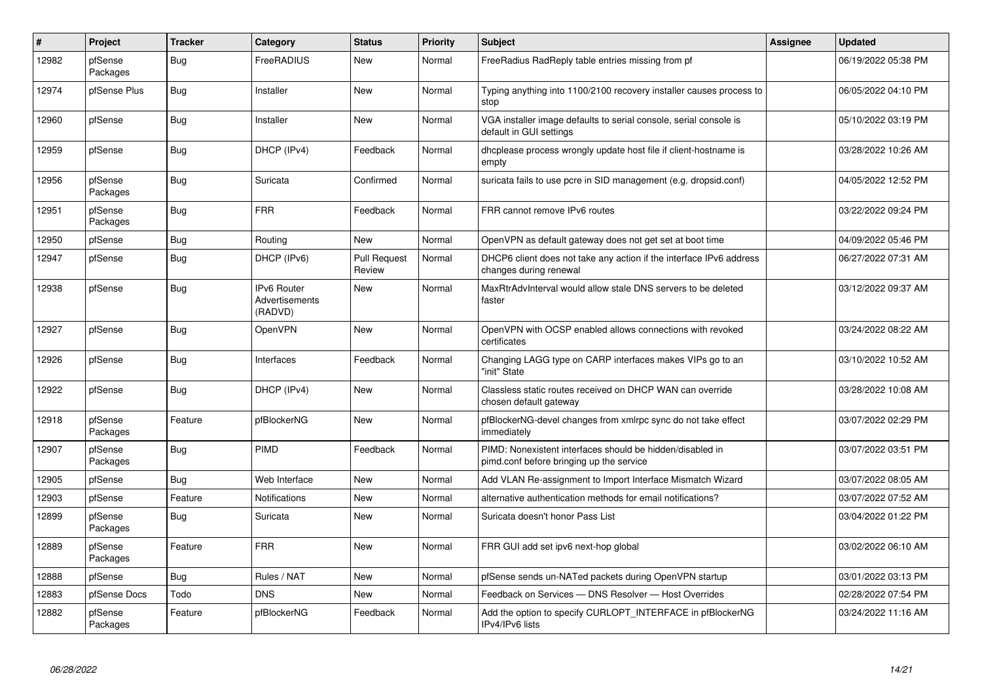| #     | Project             | <b>Tracker</b> | Category                                        | <b>Status</b>                 | <b>Priority</b> | <b>Subject</b>                                                                                        | Assignee | <b>Updated</b>      |
|-------|---------------------|----------------|-------------------------------------------------|-------------------------------|-----------------|-------------------------------------------------------------------------------------------------------|----------|---------------------|
| 12982 | pfSense<br>Packages | Bug            | FreeRADIUS                                      | <b>New</b>                    | Normal          | FreeRadius RadReply table entries missing from pf                                                     |          | 06/19/2022 05:38 PM |
| 12974 | pfSense Plus        | Bug            | Installer                                       | New                           | Normal          | Typing anything into 1100/2100 recovery installer causes process to<br>stop                           |          | 06/05/2022 04:10 PM |
| 12960 | pfSense             | Bug            | Installer                                       | New                           | Normal          | VGA installer image defaults to serial console, serial console is<br>default in GUI settings          |          | 05/10/2022 03:19 PM |
| 12959 | pfSense             | <b>Bug</b>     | DHCP (IPv4)                                     | Feedback                      | Normal          | dhcplease process wrongly update host file if client-hostname is<br>empty                             |          | 03/28/2022 10:26 AM |
| 12956 | pfSense<br>Packages | Bug            | Suricata                                        | Confirmed                     | Normal          | suricata fails to use pcre in SID management (e.g. dropsid.conf)                                      |          | 04/05/2022 12:52 PM |
| 12951 | pfSense<br>Packages | <b>Bug</b>     | <b>FRR</b>                                      | Feedback                      | Normal          | FRR cannot remove IPv6 routes                                                                         |          | 03/22/2022 09:24 PM |
| 12950 | pfSense             | <b>Bug</b>     | Routing                                         | <b>New</b>                    | Normal          | OpenVPN as default gateway does not get set at boot time                                              |          | 04/09/2022 05:46 PM |
| 12947 | pfSense             | Bug            | DHCP (IPv6)                                     | <b>Pull Request</b><br>Review | Normal          | DHCP6 client does not take any action if the interface IPv6 address<br>changes during renewal         |          | 06/27/2022 07:31 AM |
| 12938 | pfSense             | Bug            | <b>IPv6 Router</b><br>Advertisements<br>(RADVD) | <b>New</b>                    | Normal          | MaxRtrAdvInterval would allow stale DNS servers to be deleted<br>faster                               |          | 03/12/2022 09:37 AM |
| 12927 | pfSense             | Bug            | OpenVPN                                         | <b>New</b>                    | Normal          | OpenVPN with OCSP enabled allows connections with revoked<br>certificates                             |          | 03/24/2022 08:22 AM |
| 12926 | pfSense             | <b>Bug</b>     | Interfaces                                      | Feedback                      | Normal          | Changing LAGG type on CARP interfaces makes VIPs go to an<br>"init" State                             |          | 03/10/2022 10:52 AM |
| 12922 | pfSense             | <b>Bug</b>     | DHCP (IPv4)                                     | New                           | Normal          | Classless static routes received on DHCP WAN can override<br>chosen default gateway                   |          | 03/28/2022 10:08 AM |
| 12918 | pfSense<br>Packages | Feature        | pfBlockerNG                                     | New                           | Normal          | pfBlockerNG-devel changes from xmlrpc sync do not take effect<br>immediately                          |          | 03/07/2022 02:29 PM |
| 12907 | pfSense<br>Packages | Bug            | <b>PIMD</b>                                     | Feedback                      | Normal          | PIMD: Nonexistent interfaces should be hidden/disabled in<br>pimd.conf before bringing up the service |          | 03/07/2022 03:51 PM |
| 12905 | pfSense             | Bug            | Web Interface                                   | New                           | Normal          | Add VLAN Re-assignment to Import Interface Mismatch Wizard                                            |          | 03/07/2022 08:05 AM |
| 12903 | pfSense             | Feature        | Notifications                                   | New                           | Normal          | alternative authentication methods for email notifications?                                           |          | 03/07/2022 07:52 AM |
| 12899 | pfSense<br>Packages | Bug            | Suricata                                        | New                           | Normal          | Suricata doesn't honor Pass List                                                                      |          | 03/04/2022 01:22 PM |
| 12889 | pfSense<br>Packages | Feature        | <b>FRR</b>                                      | New                           | Normal          | FRR GUI add set ipv6 next-hop global                                                                  |          | 03/02/2022 06:10 AM |
| 12888 | pfSense             | Bug            | Rules / NAT                                     | <b>New</b>                    | Normal          | pfSense sends un-NATed packets during OpenVPN startup                                                 |          | 03/01/2022 03:13 PM |
| 12883 | pfSense Docs        | Todo           | <b>DNS</b>                                      | New                           | Normal          | Feedback on Services - DNS Resolver - Host Overrides                                                  |          | 02/28/2022 07:54 PM |
| 12882 | pfSense<br>Packages | Feature        | pfBlockerNG                                     | Feedback                      | Normal          | Add the option to specify CURLOPT INTERFACE in pfBlockerNG<br>IPv4/IPv6 lists                         |          | 03/24/2022 11:16 AM |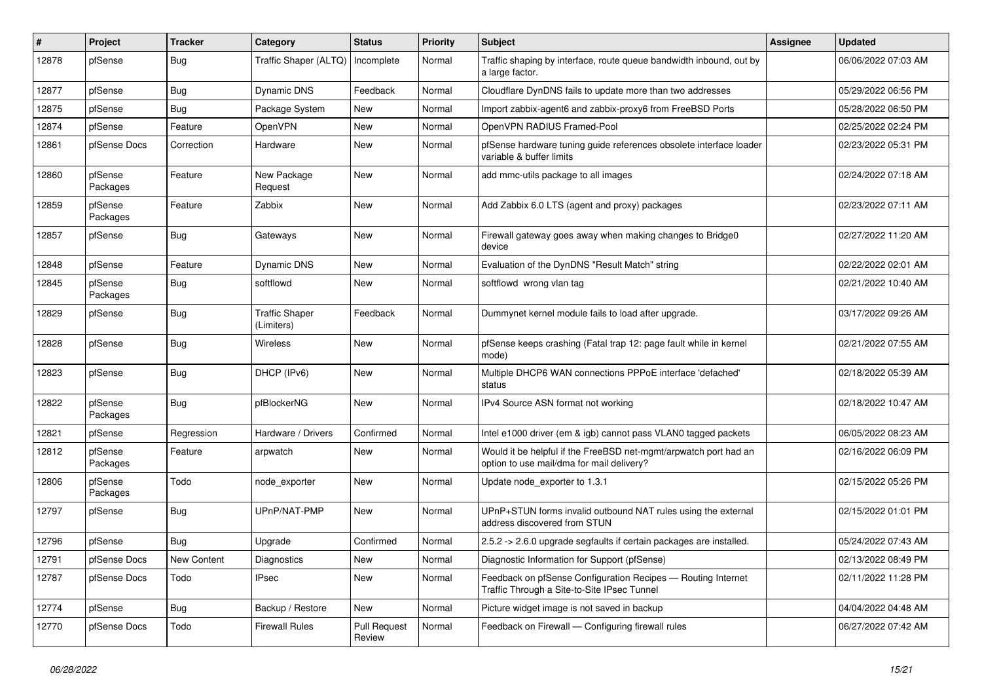| #     | Project             | <b>Tracker</b>     | Category                            | <b>Status</b>                 | <b>Priority</b> | <b>Subject</b>                                                                                                | Assignee | <b>Updated</b>      |
|-------|---------------------|--------------------|-------------------------------------|-------------------------------|-----------------|---------------------------------------------------------------------------------------------------------------|----------|---------------------|
| 12878 | pfSense             | <b>Bug</b>         | Traffic Shaper (ALTQ)               | Incomplete                    | Normal          | Traffic shaping by interface, route queue bandwidth inbound, out by<br>a large factor.                        |          | 06/06/2022 07:03 AM |
| 12877 | pfSense             | Bug                | Dynamic DNS                         | Feedback                      | Normal          | Cloudflare DynDNS fails to update more than two addresses                                                     |          | 05/29/2022 06:56 PM |
| 12875 | pfSense             | Bug                | Package System                      | New                           | Normal          | Import zabbix-agent6 and zabbix-proxy6 from FreeBSD Ports                                                     |          | 05/28/2022 06:50 PM |
| 12874 | pfSense             | Feature            | OpenVPN                             | <b>New</b>                    | Normal          | OpenVPN RADIUS Framed-Pool                                                                                    |          | 02/25/2022 02:24 PM |
| 12861 | pfSense Docs        | Correction         | Hardware                            | <b>New</b>                    | Normal          | pfSense hardware tuning guide references obsolete interface loader<br>variable & buffer limits                |          | 02/23/2022 05:31 PM |
| 12860 | pfSense<br>Packages | Feature            | New Package<br>Request              | New                           | Normal          | add mmc-utils package to all images                                                                           |          | 02/24/2022 07:18 AM |
| 12859 | pfSense<br>Packages | Feature            | Zabbix                              | <b>New</b>                    | Normal          | Add Zabbix 6.0 LTS (agent and proxy) packages                                                                 |          | 02/23/2022 07:11 AM |
| 12857 | pfSense             | Bug                | Gateways                            | <b>New</b>                    | Normal          | Firewall gateway goes away when making changes to Bridge0<br>device                                           |          | 02/27/2022 11:20 AM |
| 12848 | pfSense             | Feature            | <b>Dynamic DNS</b>                  | New                           | Normal          | Evaluation of the DynDNS "Result Match" string                                                                |          | 02/22/2022 02:01 AM |
| 12845 | pfSense<br>Packages | <b>Bug</b>         | softflowd                           | <b>New</b>                    | Normal          | softflowd wrong vlan tag                                                                                      |          | 02/21/2022 10:40 AM |
| 12829 | pfSense             | Bug                | <b>Traffic Shaper</b><br>(Limiters) | Feedback                      | Normal          | Dummynet kernel module fails to load after upgrade.                                                           |          | 03/17/2022 09:26 AM |
| 12828 | pfSense             | Bug                | <b>Wireless</b>                     | New                           | Normal          | pfSense keeps crashing (Fatal trap 12: page fault while in kernel<br>mode)                                    |          | 02/21/2022 07:55 AM |
| 12823 | pfSense             | <b>Bug</b>         | DHCP (IPv6)                         | <b>New</b>                    | Normal          | Multiple DHCP6 WAN connections PPPoE interface 'defached'<br>status                                           |          | 02/18/2022 05:39 AM |
| 12822 | pfSense<br>Packages | Bug                | pfBlockerNG                         | <b>New</b>                    | Normal          | IPv4 Source ASN format not working                                                                            |          | 02/18/2022 10:47 AM |
| 12821 | pfSense             | Regression         | Hardware / Drivers                  | Confirmed                     | Normal          | Intel e1000 driver (em & igb) cannot pass VLAN0 tagged packets                                                |          | 06/05/2022 08:23 AM |
| 12812 | pfSense<br>Packages | Feature            | arpwatch                            | <b>New</b>                    | Normal          | Would it be helpful if the FreeBSD net-mgmt/arpwatch port had an<br>option to use mail/dma for mail delivery? |          | 02/16/2022 06:09 PM |
| 12806 | pfSense<br>Packages | Todo               | node_exporter                       | <b>New</b>                    | Normal          | Update node_exporter to 1.3.1                                                                                 |          | 02/15/2022 05:26 PM |
| 12797 | pfSense             | Bug                | UPnP/NAT-PMP                        | <b>New</b>                    | Normal          | UPnP+STUN forms invalid outbound NAT rules using the external<br>address discovered from STUN                 |          | 02/15/2022 01:01 PM |
| 12796 | pfSense             | <b>Bug</b>         | Upgrade                             | Confirmed                     | Normal          | 2.5.2 -> 2.6.0 upgrade segfaults if certain packages are installed.                                           |          | 05/24/2022 07:43 AM |
| 12791 | pfSense Docs        | <b>New Content</b> | Diagnostics                         | New                           | Normal          | Diagnostic Information for Support (pfSense)                                                                  |          | 02/13/2022 08:49 PM |
| 12787 | pfSense Docs        | Todo               | <b>IPsec</b>                        | New                           | Normal          | Feedback on pfSense Configuration Recipes - Routing Internet<br>Traffic Through a Site-to-Site IPsec Tunnel   |          | 02/11/2022 11:28 PM |
| 12774 | pfSense             | Bug                | Backup / Restore                    | New                           | Normal          | Picture widget image is not saved in backup                                                                   |          | 04/04/2022 04:48 AM |
| 12770 | pfSense Docs        | Todo               | <b>Firewall Rules</b>               | <b>Pull Request</b><br>Review | Normal          | Feedback on Firewall - Configuring firewall rules                                                             |          | 06/27/2022 07:42 AM |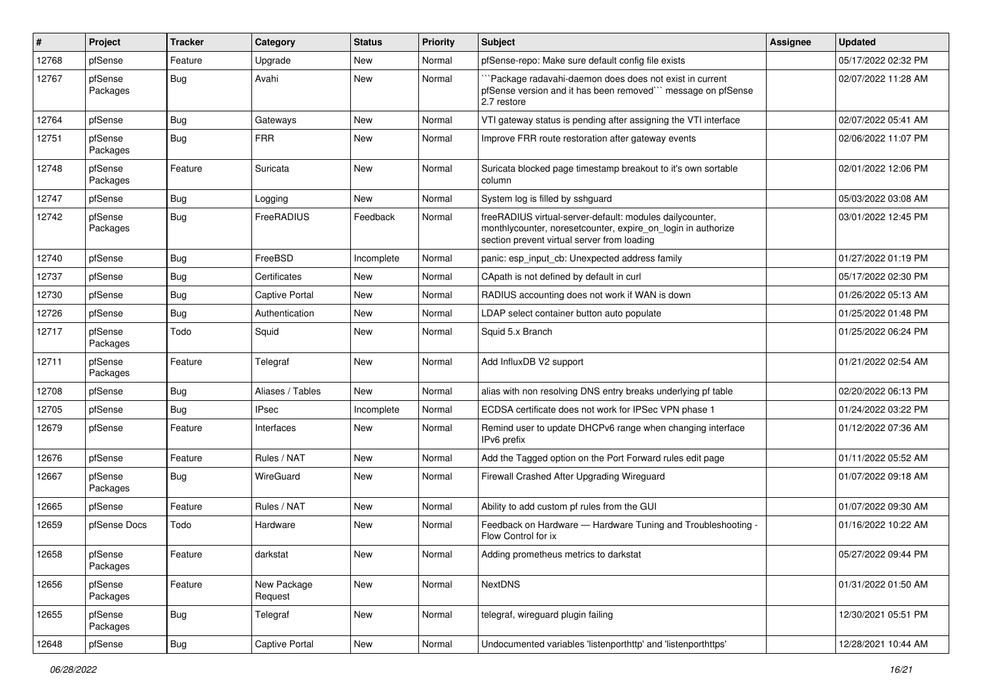| ∦     | Project             | <b>Tracker</b> | Category               | <b>Status</b> | <b>Priority</b> | <b>Subject</b>                                                                                                                                                          | Assignee | <b>Updated</b>      |
|-------|---------------------|----------------|------------------------|---------------|-----------------|-------------------------------------------------------------------------------------------------------------------------------------------------------------------------|----------|---------------------|
| 12768 | pfSense             | Feature        | Upgrade                | New           | Normal          | pfSense-repo: Make sure default config file exists                                                                                                                      |          | 05/17/2022 02:32 PM |
| 12767 | pfSense<br>Packages | Bug            | Avahi                  | New           | Normal          | Package radavahi-daemon does does not exist in current<br>pfSense version and it has been removed"" message on pfSense<br>2.7 restore                                   |          | 02/07/2022 11:28 AM |
| 12764 | pfSense             | <b>Bug</b>     | Gateways               | <b>New</b>    | Normal          | VTI gateway status is pending after assigning the VTI interface                                                                                                         |          | 02/07/2022 05:41 AM |
| 12751 | pfSense<br>Packages | Bug            | <b>FRR</b>             | New           | Normal          | Improve FRR route restoration after gateway events                                                                                                                      |          | 02/06/2022 11:07 PM |
| 12748 | pfSense<br>Packages | Feature        | Suricata               | New           | Normal          | Suricata blocked page timestamp breakout to it's own sortable<br>column                                                                                                 |          | 02/01/2022 12:06 PM |
| 12747 | pfSense             | <b>Bug</b>     | Logging                | New           | Normal          | System log is filled by sshguard                                                                                                                                        |          | 05/03/2022 03:08 AM |
| 12742 | pfSense<br>Packages | Bug            | FreeRADIUS             | Feedback      | Normal          | freeRADIUS virtual-server-default: modules dailycounter,<br>monthlycounter, noresetcounter, expire_on_login in authorize<br>section prevent virtual server from loading |          | 03/01/2022 12:45 PM |
| 12740 | pfSense             | <b>Bug</b>     | FreeBSD                | Incomplete    | Normal          | panic: esp input cb: Unexpected address family                                                                                                                          |          | 01/27/2022 01:19 PM |
| 12737 | pfSense             | <b>Bug</b>     | Certificates           | New           | Normal          | CApath is not defined by default in curl                                                                                                                                |          | 05/17/2022 02:30 PM |
| 12730 | pfSense             | Bug            | Captive Portal         | <b>New</b>    | Normal          | RADIUS accounting does not work if WAN is down                                                                                                                          |          | 01/26/2022 05:13 AM |
| 12726 | pfSense             | <b>Bug</b>     | Authentication         | New           | Normal          | LDAP select container button auto populate                                                                                                                              |          | 01/25/2022 01:48 PM |
| 12717 | pfSense<br>Packages | Todo           | Squid                  | New           | Normal          | Squid 5.x Branch                                                                                                                                                        |          | 01/25/2022 06:24 PM |
| 12711 | pfSense<br>Packages | Feature        | Telegraf               | <b>New</b>    | Normal          | Add InfluxDB V2 support                                                                                                                                                 |          | 01/21/2022 02:54 AM |
| 12708 | pfSense             | Bug            | Aliases / Tables       | New           | Normal          | alias with non resolving DNS entry breaks underlying pf table                                                                                                           |          | 02/20/2022 06:13 PM |
| 12705 | pfSense             | <b>Bug</b>     | <b>IPsec</b>           | Incomplete    | Normal          | ECDSA certificate does not work for IPSec VPN phase 1                                                                                                                   |          | 01/24/2022 03:22 PM |
| 12679 | pfSense             | Feature        | Interfaces             | New           | Normal          | Remind user to update DHCPv6 range when changing interface<br>IPv6 prefix                                                                                               |          | 01/12/2022 07:36 AM |
| 12676 | pfSense             | Feature        | Rules / NAT            | New           | Normal          | Add the Tagged option on the Port Forward rules edit page                                                                                                               |          | 01/11/2022 05:52 AM |
| 12667 | pfSense<br>Packages | Bug            | WireGuard              | New           | Normal          | Firewall Crashed After Upgrading Wireguard                                                                                                                              |          | 01/07/2022 09:18 AM |
| 12665 | pfSense             | Feature        | Rules / NAT            | New           | Normal          | Ability to add custom pf rules from the GUI                                                                                                                             |          | 01/07/2022 09:30 AM |
| 12659 | pfSense Docs        | Todo           | Hardware               | New           | Normal          | Feedback on Hardware - Hardware Tuning and Troubleshooting -<br>Flow Control for ix                                                                                     |          | 01/16/2022 10:22 AM |
| 12658 | pfSense<br>Packages | Feature        | darkstat               | New           | Normal          | Adding prometheus metrics to darkstat                                                                                                                                   |          | 05/27/2022 09:44 PM |
| 12656 | pfSense<br>Packages | Feature        | New Package<br>Request | New           | Normal          | <b>NextDNS</b>                                                                                                                                                          |          | 01/31/2022 01:50 AM |
| 12655 | pfSense<br>Packages | <b>Bug</b>     | Telegraf               | New           | Normal          | telegraf, wireguard plugin failing                                                                                                                                      |          | 12/30/2021 05:51 PM |
| 12648 | pfSense             | <b>Bug</b>     | <b>Captive Portal</b>  | New           | Normal          | Undocumented variables 'listenporthttp' and 'listenporthttps'                                                                                                           |          | 12/28/2021 10:44 AM |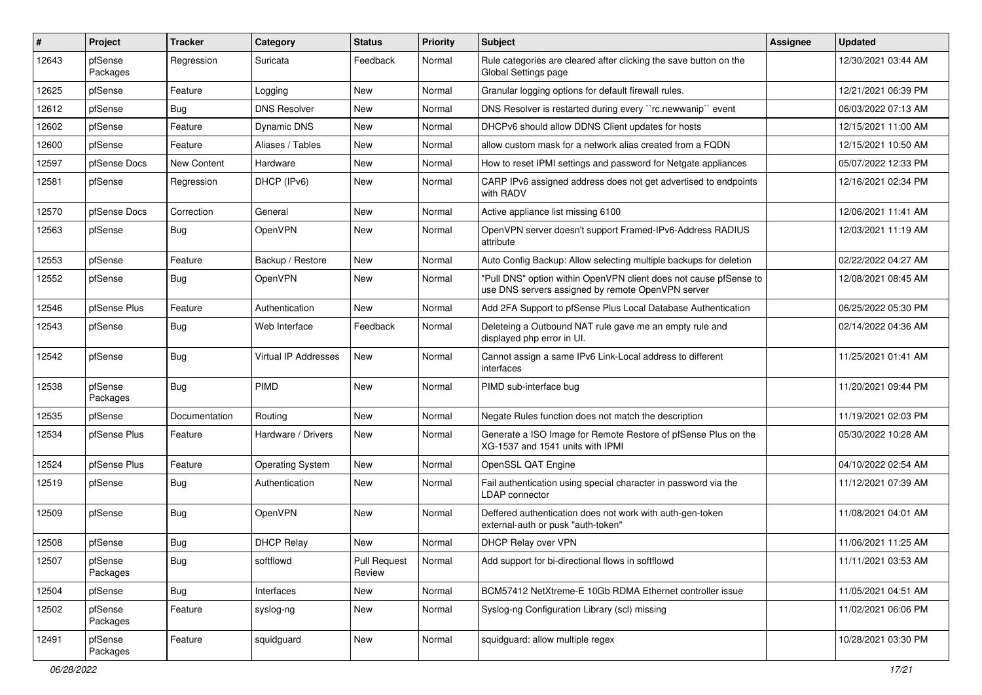| $\vert$ # | Project             | <b>Tracker</b>     | Category                | <b>Status</b>          | <b>Priority</b> | Subject                                                                                                                | Assignee | <b>Updated</b>      |
|-----------|---------------------|--------------------|-------------------------|------------------------|-----------------|------------------------------------------------------------------------------------------------------------------------|----------|---------------------|
| 12643     | pfSense<br>Packages | Regression         | Suricata                | Feedback               | Normal          | Rule categories are cleared after clicking the save button on the<br>Global Settings page                              |          | 12/30/2021 03:44 AM |
| 12625     | pfSense             | Feature            | Logging                 | <b>New</b>             | Normal          | Granular logging options for default firewall rules.                                                                   |          | 12/21/2021 06:39 PM |
| 12612     | pfSense             | <b>Bug</b>         | <b>DNS Resolver</b>     | <b>New</b>             | Normal          | DNS Resolver is restarted during every "rc.newwanip" event                                                             |          | 06/03/2022 07:13 AM |
| 12602     | pfSense             | Feature            | <b>Dynamic DNS</b>      | <b>New</b>             | Normal          | DHCPv6 should allow DDNS Client updates for hosts                                                                      |          | 12/15/2021 11:00 AM |
| 12600     | pfSense             | Feature            | Aliases / Tables        | <b>New</b>             | Normal          | allow custom mask for a network alias created from a FQDN                                                              |          | 12/15/2021 10:50 AM |
| 12597     | pfSense Docs        | <b>New Content</b> | Hardware                | <b>New</b>             | Normal          | How to reset IPMI settings and password for Netgate appliances                                                         |          | 05/07/2022 12:33 PM |
| 12581     | pfSense             | Regression         | DHCP (IPv6)             | <b>New</b>             | Normal          | CARP IPv6 assigned address does not get advertised to endpoints<br>with RADV                                           |          | 12/16/2021 02:34 PM |
| 12570     | pfSense Docs        | Correction         | General                 | <b>New</b>             | Normal          | Active appliance list missing 6100                                                                                     |          | 12/06/2021 11:41 AM |
| 12563     | pfSense             | <b>Bug</b>         | OpenVPN                 | <b>New</b>             | Normal          | OpenVPN server doesn't support Framed-IPv6-Address RADIUS<br>attribute                                                 |          | 12/03/2021 11:19 AM |
| 12553     | pfSense             | Feature            | Backup / Restore        | <b>New</b>             | Normal          | Auto Config Backup: Allow selecting multiple backups for deletion                                                      |          | 02/22/2022 04:27 AM |
| 12552     | pfSense             | Bug                | OpenVPN                 | <b>New</b>             | Normal          | "Pull DNS" option within OpenVPN client does not cause pfSense to<br>use DNS servers assigned by remote OpenVPN server |          | 12/08/2021 08:45 AM |
| 12546     | pfSense Plus        | Feature            | Authentication          | <b>New</b>             | Normal          | Add 2FA Support to pfSense Plus Local Database Authentication                                                          |          | 06/25/2022 05:30 PM |
| 12543     | pfSense             | Bug                | Web Interface           | Feedback               | Normal          | Deleteing a Outbound NAT rule gave me an empty rule and<br>displayed php error in UI.                                  |          | 02/14/2022 04:36 AM |
| 12542     | pfSense             | Bug                | Virtual IP Addresses    | <b>New</b>             | Normal          | Cannot assign a same IPv6 Link-Local address to different<br>interfaces                                                |          | 11/25/2021 01:41 AM |
| 12538     | pfSense<br>Packages | <b>Bug</b>         | PIMD                    | <b>New</b>             | Normal          | PIMD sub-interface bug                                                                                                 |          | 11/20/2021 09:44 PM |
| 12535     | pfSense             | Documentation      | Routing                 | <b>New</b>             | Normal          | Negate Rules function does not match the description                                                                   |          | 11/19/2021 02:03 PM |
| 12534     | pfSense Plus        | Feature            | Hardware / Drivers      | <b>New</b>             | Normal          | Generate a ISO Image for Remote Restore of pfSense Plus on the<br>XG-1537 and 1541 units with IPMI                     |          | 05/30/2022 10:28 AM |
| 12524     | pfSense Plus        | Feature            | <b>Operating System</b> | <b>New</b>             | Normal          | OpenSSL QAT Engine                                                                                                     |          | 04/10/2022 02:54 AM |
| 12519     | pfSense             | Bug                | Authentication          | New                    | Normal          | Fail authentication using special character in password via the<br>LDAP connector                                      |          | 11/12/2021 07:39 AM |
| 12509     | pfSense             | <b>Bug</b>         | OpenVPN                 | <b>New</b>             | Normal          | Deffered authentication does not work with auth-gen-token<br>external-auth or pusk "auth-token"                        |          | 11/08/2021 04:01 AM |
| 12508     | pfSense             | Bug                | <b>DHCP Relay</b>       | <b>New</b>             | Normal          | DHCP Relay over VPN                                                                                                    |          | 11/06/2021 11:25 AM |
| 12507     | pfSense<br>Packages | Bug                | softflowd               | Pull Request<br>Review | Normal          | Add support for bi-directional flows in softflowd                                                                      |          | 11/11/2021 03:53 AM |
| 12504     | pfSense             | <b>Bug</b>         | Interfaces              | New                    | Normal          | BCM57412 NetXtreme-E 10Gb RDMA Ethernet controller issue                                                               |          | 11/05/2021 04:51 AM |
| 12502     | pfSense<br>Packages | Feature            | syslog-ng               | New                    | Normal          | Syslog-ng Configuration Library (scl) missing                                                                          |          | 11/02/2021 06:06 PM |
| 12491     | pfSense<br>Packages | Feature            | squidguard              | New                    | Normal          | squidguard: allow multiple regex                                                                                       |          | 10/28/2021 03:30 PM |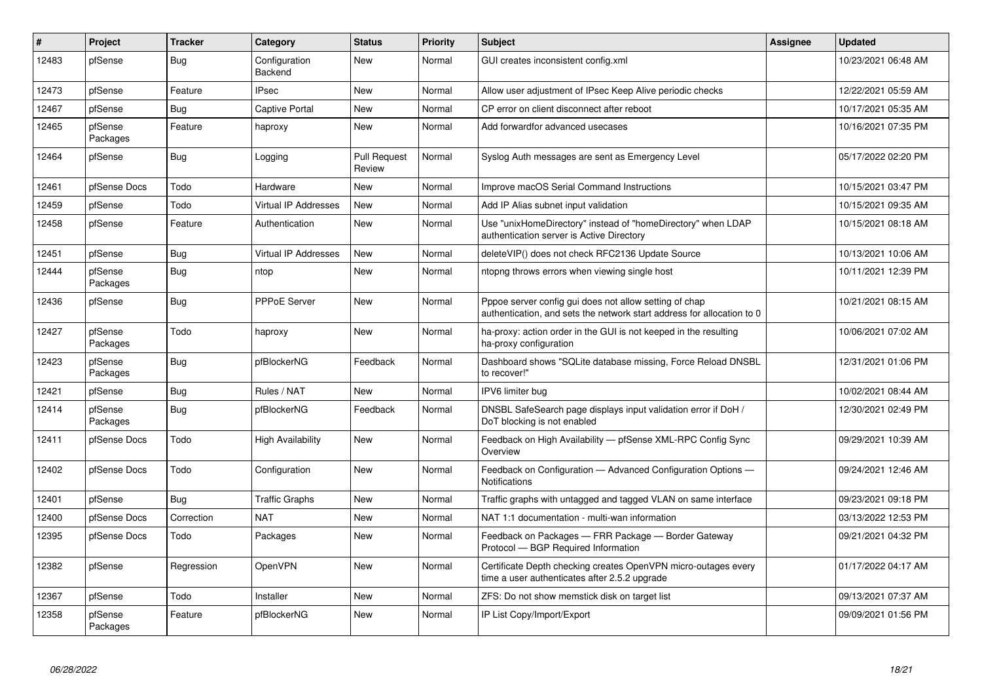| #     | Project             | <b>Tracker</b> | Category                        | <b>Status</b>                 | <b>Priority</b> | <b>Subject</b>                                                                                                                   | <b>Assignee</b> | <b>Updated</b>      |
|-------|---------------------|----------------|---------------------------------|-------------------------------|-----------------|----------------------------------------------------------------------------------------------------------------------------------|-----------------|---------------------|
| 12483 | pfSense             | <b>Bug</b>     | Configuration<br><b>Backend</b> | <b>New</b>                    | Normal          | GUI creates inconsistent config.xml                                                                                              |                 | 10/23/2021 06:48 AM |
| 12473 | pfSense             | Feature        | <b>IPsec</b>                    | New                           | Normal          | Allow user adjustment of IPsec Keep Alive periodic checks                                                                        |                 | 12/22/2021 05:59 AM |
| 12467 | pfSense             | Bug            | <b>Captive Portal</b>           | New                           | Normal          | CP error on client disconnect after reboot                                                                                       |                 | 10/17/2021 05:35 AM |
| 12465 | pfSense<br>Packages | Feature        | haproxy                         | <b>New</b>                    | Normal          | Add forwardfor advanced usecases                                                                                                 |                 | 10/16/2021 07:35 PM |
| 12464 | pfSense             | <b>Bug</b>     | Logging                         | <b>Pull Request</b><br>Review | Normal          | Syslog Auth messages are sent as Emergency Level                                                                                 |                 | 05/17/2022 02:20 PM |
| 12461 | pfSense Docs        | Todo           | Hardware                        | New                           | Normal          | Improve macOS Serial Command Instructions                                                                                        |                 | 10/15/2021 03:47 PM |
| 12459 | pfSense             | Todo           | Virtual IP Addresses            | <b>New</b>                    | Normal          | Add IP Alias subnet input validation                                                                                             |                 | 10/15/2021 09:35 AM |
| 12458 | pfSense             | Feature        | Authentication                  | New                           | Normal          | Use "unixHomeDirectory" instead of "homeDirectory" when LDAP<br>authentication server is Active Directory                        |                 | 10/15/2021 08:18 AM |
| 12451 | pfSense             | <b>Bug</b>     | <b>Virtual IP Addresses</b>     | New                           | Normal          | deleteVIP() does not check RFC2136 Update Source                                                                                 |                 | 10/13/2021 10:06 AM |
| 12444 | pfSense<br>Packages | Bug            | ntop                            | New                           | Normal          | ntopng throws errors when viewing single host                                                                                    |                 | 10/11/2021 12:39 PM |
| 12436 | pfSense             | Bug            | PPPoE Server                    | New                           | Normal          | Pppoe server config gui does not allow setting of chap<br>authentication, and sets the network start address for allocation to 0 |                 | 10/21/2021 08:15 AM |
| 12427 | pfSense<br>Packages | Todo           | haproxy                         | New                           | Normal          | ha-proxy: action order in the GUI is not keeped in the resulting<br>ha-proxy configuration                                       |                 | 10/06/2021 07:02 AM |
| 12423 | pfSense<br>Packages | Bug            | pfBlockerNG                     | Feedback                      | Normal          | Dashboard shows "SQLite database missing, Force Reload DNSBL<br>to recover!"                                                     |                 | 12/31/2021 01:06 PM |
| 12421 | pfSense             | <b>Bug</b>     | Rules / NAT                     | <b>New</b>                    | Normal          | IPV6 limiter bug                                                                                                                 |                 | 10/02/2021 08:44 AM |
| 12414 | pfSense<br>Packages | Bug            | pfBlockerNG                     | Feedback                      | Normal          | DNSBL SafeSearch page displays input validation error if DoH /<br>DoT blocking is not enabled                                    |                 | 12/30/2021 02:49 PM |
| 12411 | pfSense Docs        | Todo           | High Availability               | <b>New</b>                    | Normal          | Feedback on High Availability - pfSense XML-RPC Config Sync<br>Overview                                                          |                 | 09/29/2021 10:39 AM |
| 12402 | pfSense Docs        | Todo           | Configuration                   | <b>New</b>                    | Normal          | Feedback on Configuration - Advanced Configuration Options -<br><b>Notifications</b>                                             |                 | 09/24/2021 12:46 AM |
| 12401 | pfSense             | Bug            | <b>Traffic Graphs</b>           | <b>New</b>                    | Normal          | Traffic graphs with untagged and tagged VLAN on same interface                                                                   |                 | 09/23/2021 09:18 PM |
| 12400 | pfSense Docs        | Correction     | <b>NAT</b>                      | New                           | Normal          | NAT 1:1 documentation - multi-wan information                                                                                    |                 | 03/13/2022 12:53 PM |
| 12395 | pfSense Docs        | Todo           | Packages                        | <b>New</b>                    | Normal          | Feedback on Packages - FRR Package - Border Gateway<br>Protocol - BGP Required Information                                       |                 | 09/21/2021 04:32 PM |
| 12382 | pfSense             | Regression     | OpenVPN                         | <b>New</b>                    | Normal          | Certificate Depth checking creates OpenVPN micro-outages every<br>time a user authenticates after 2.5.2 upgrade                  |                 | 01/17/2022 04:17 AM |
| 12367 | pfSense             | Todo           | Installer                       | New                           | Normal          | ZFS: Do not show memstick disk on target list                                                                                    |                 | 09/13/2021 07:37 AM |
| 12358 | pfSense<br>Packages | Feature        | pfBlockerNG                     | <b>New</b>                    | Normal          | IP List Copy/Import/Export                                                                                                       |                 | 09/09/2021 01:56 PM |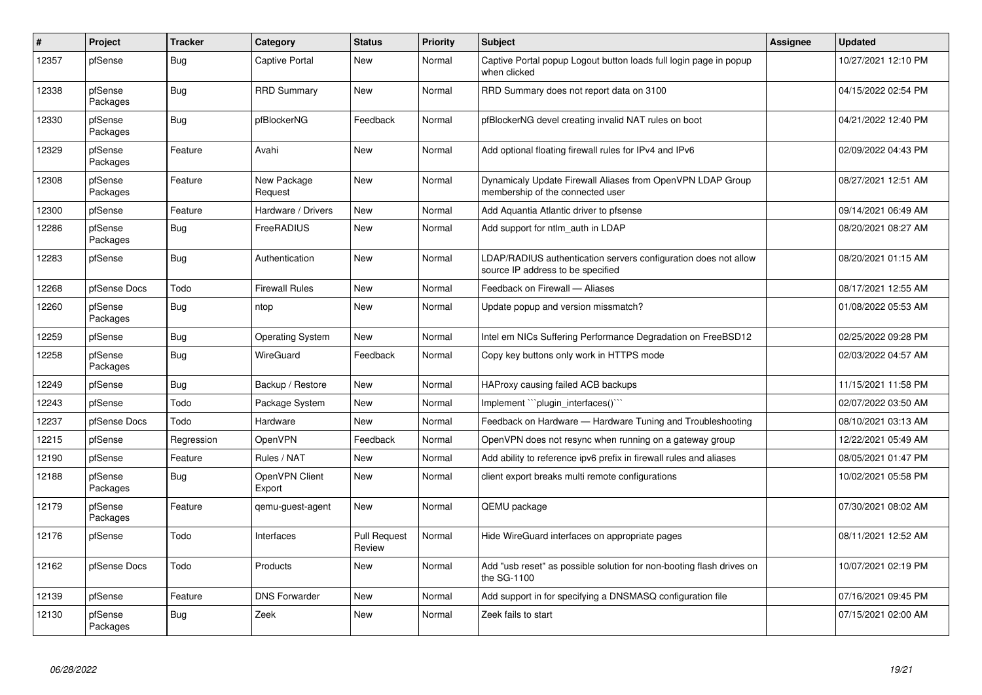| $\sharp$ | Project             | <b>Tracker</b> | Category                 | <b>Status</b>                 | <b>Priority</b> | <b>Subject</b>                                                                                       | Assignee | <b>Updated</b>      |
|----------|---------------------|----------------|--------------------------|-------------------------------|-----------------|------------------------------------------------------------------------------------------------------|----------|---------------------|
| 12357    | pfSense             | Bug            | <b>Captive Portal</b>    | <b>New</b>                    | Normal          | Captive Portal popup Logout button loads full login page in popup<br>when clicked                    |          | 10/27/2021 12:10 PM |
| 12338    | pfSense<br>Packages | Bug            | <b>RRD Summary</b>       | <b>New</b>                    | Normal          | RRD Summary does not report data on 3100                                                             |          | 04/15/2022 02:54 PM |
| 12330    | pfSense<br>Packages | Bug            | pfBlockerNG              | Feedback                      | Normal          | pfBlockerNG devel creating invalid NAT rules on boot                                                 |          | 04/21/2022 12:40 PM |
| 12329    | pfSense<br>Packages | Feature        | Avahi                    | <b>New</b>                    | Normal          | Add optional floating firewall rules for IPv4 and IPv6                                               |          | 02/09/2022 04:43 PM |
| 12308    | pfSense<br>Packages | Feature        | New Package<br>Request   | <b>New</b>                    | Normal          | Dynamicaly Update Firewall Aliases from OpenVPN LDAP Group<br>membership of the connected user       |          | 08/27/2021 12:51 AM |
| 12300    | pfSense             | Feature        | Hardware / Drivers       | <b>New</b>                    | Normal          | Add Aquantia Atlantic driver to pfsense                                                              |          | 09/14/2021 06:49 AM |
| 12286    | pfSense<br>Packages | Bug            | FreeRADIUS               | <b>New</b>                    | Normal          | Add support for ntlm auth in LDAP                                                                    |          | 08/20/2021 08:27 AM |
| 12283    | pfSense             | <b>Bug</b>     | Authentication           | <b>New</b>                    | Normal          | LDAP/RADIUS authentication servers configuration does not allow<br>source IP address to be specified |          | 08/20/2021 01:15 AM |
| 12268    | pfSense Docs        | Todo           | <b>Firewall Rules</b>    | <b>New</b>                    | Normal          | Feedback on Firewall - Aliases                                                                       |          | 08/17/2021 12:55 AM |
| 12260    | pfSense<br>Packages | <b>Bug</b>     | ntop                     | <b>New</b>                    | Normal          | Update popup and version missmatch?                                                                  |          | 01/08/2022 05:53 AM |
| 12259    | pfSense             | <b>Bug</b>     | <b>Operating System</b>  | <b>New</b>                    | Normal          | Intel em NICs Suffering Performance Degradation on FreeBSD12                                         |          | 02/25/2022 09:28 PM |
| 12258    | pfSense<br>Packages | Bug            | WireGuard                | Feedback                      | Normal          | Copy key buttons only work in HTTPS mode                                                             |          | 02/03/2022 04:57 AM |
| 12249    | pfSense             | Bug            | Backup / Restore         | <b>New</b>                    | Normal          | HAProxy causing failed ACB backups                                                                   |          | 11/15/2021 11:58 PM |
| 12243    | pfSense             | Todo           | Package System           | <b>New</b>                    | Normal          | Implement "plugin interfaces()"                                                                      |          | 02/07/2022 03:50 AM |
| 12237    | pfSense Docs        | Todo           | Hardware                 | <b>New</b>                    | Normal          | Feedback on Hardware - Hardware Tuning and Troubleshooting                                           |          | 08/10/2021 03:13 AM |
| 12215    | pfSense             | Regression     | OpenVPN                  | Feedback                      | Normal          | OpenVPN does not resync when running on a gateway group                                              |          | 12/22/2021 05:49 AM |
| 12190    | pfSense             | Feature        | Rules / NAT              | <b>New</b>                    | Normal          | Add ability to reference ipv6 prefix in firewall rules and aliases                                   |          | 08/05/2021 01:47 PM |
| 12188    | pfSense<br>Packages | <b>Bug</b>     | OpenVPN Client<br>Export | New                           | Normal          | client export breaks multi remote configurations                                                     |          | 10/02/2021 05:58 PM |
| 12179    | pfSense<br>Packages | Feature        | gemu-guest-agent         | <b>New</b>                    | Normal          | QEMU package                                                                                         |          | 07/30/2021 08:02 AM |
| 12176    | pfSense             | Todo           | Interfaces               | <b>Pull Request</b><br>Review | Normal          | Hide WireGuard interfaces on appropriate pages                                                       |          | 08/11/2021 12:52 AM |
| 12162    | pfSense Docs        | Todo           | Products                 | <b>New</b>                    | Normal          | Add "usb reset" as possible solution for non-booting flash drives on<br>the SG-1100                  |          | 10/07/2021 02:19 PM |
| 12139    | pfSense             | Feature        | <b>DNS Forwarder</b>     | New                           | Normal          | Add support in for specifying a DNSMASQ configuration file                                           |          | 07/16/2021 09:45 PM |
| 12130    | pfSense<br>Packages | Bug            | Zeek                     | <b>New</b>                    | Normal          | Zeek fails to start                                                                                  |          | 07/15/2021 02:00 AM |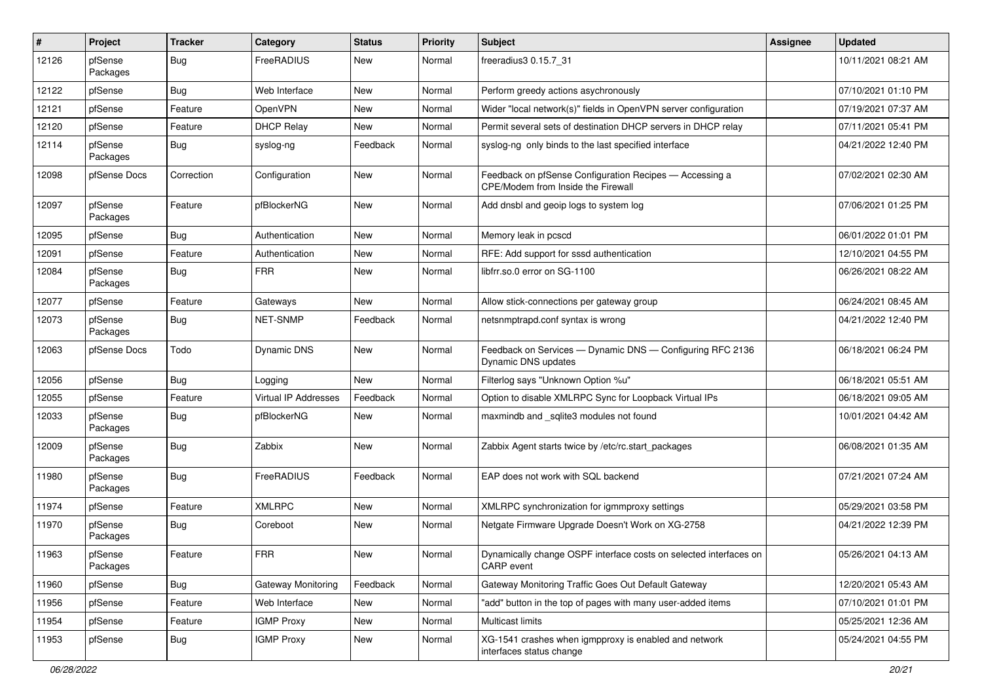| #     | <b>Project</b>      | <b>Tracker</b> | Category             | <b>Status</b> | <b>Priority</b> | Subject                                                                                              | <b>Assignee</b> | <b>Updated</b>      |
|-------|---------------------|----------------|----------------------|---------------|-----------------|------------------------------------------------------------------------------------------------------|-----------------|---------------------|
| 12126 | pfSense<br>Packages | Bug            | FreeRADIUS           | New           | Normal          | freeradius3 0.15.7_31                                                                                |                 | 10/11/2021 08:21 AM |
| 12122 | pfSense             | Bug            | Web Interface        | New           | Normal          | Perform greedy actions asychronously                                                                 |                 | 07/10/2021 01:10 PM |
| 12121 | pfSense             | Feature        | OpenVPN              | New           | Normal          | Wider "local network(s)" fields in OpenVPN server configuration                                      |                 | 07/19/2021 07:37 AM |
| 12120 | pfSense             | Feature        | <b>DHCP Relay</b>    | New           | Normal          | Permit several sets of destination DHCP servers in DHCP relay                                        |                 | 07/11/2021 05:41 PM |
| 12114 | pfSense<br>Packages | Bug            | syslog-ng            | Feedback      | Normal          | syslog-ng only binds to the last specified interface                                                 |                 | 04/21/2022 12:40 PM |
| 12098 | pfSense Docs        | Correction     | Configuration        | New           | Normal          | Feedback on pfSense Configuration Recipes - Accessing a<br><b>CPE/Modem from Inside the Firewall</b> |                 | 07/02/2021 02:30 AM |
| 12097 | pfSense<br>Packages | Feature        | pfBlockerNG          | <b>New</b>    | Normal          | Add dnsbl and geoip logs to system log                                                               |                 | 07/06/2021 01:25 PM |
| 12095 | pfSense             | Bug            | Authentication       | <b>New</b>    | Normal          | Memory leak in pcscd                                                                                 |                 | 06/01/2022 01:01 PM |
| 12091 | pfSense             | Feature        | Authentication       | <b>New</b>    | Normal          | RFE: Add support for sssd authentication                                                             |                 | 12/10/2021 04:55 PM |
| 12084 | pfSense<br>Packages | Bug            | <b>FRR</b>           | <b>New</b>    | Normal          | libfrr.so.0 error on SG-1100                                                                         |                 | 06/26/2021 08:22 AM |
| 12077 | pfSense             | Feature        | Gateways             | <b>New</b>    | Normal          | Allow stick-connections per gateway group                                                            |                 | 06/24/2021 08:45 AM |
| 12073 | pfSense<br>Packages | Bug            | NET-SNMP             | Feedback      | Normal          | netsnmptrapd.conf syntax is wrong                                                                    |                 | 04/21/2022 12:40 PM |
| 12063 | pfSense Docs        | Todo           | <b>Dynamic DNS</b>   | New           | Normal          | Feedback on Services - Dynamic DNS - Configuring RFC 2136<br>Dynamic DNS updates                     |                 | 06/18/2021 06:24 PM |
| 12056 | pfSense             | Bug            | Logging              | New           | Normal          | Filterlog says "Unknown Option %u"                                                                   |                 | 06/18/2021 05:51 AM |
| 12055 | pfSense             | Feature        | Virtual IP Addresses | Feedback      | Normal          | Option to disable XMLRPC Sync for Loopback Virtual IPs                                               |                 | 06/18/2021 09:05 AM |
| 12033 | pfSense<br>Packages | Bug            | pfBlockerNG          | New           | Normal          | maxmindb and _sqlite3 modules not found                                                              |                 | 10/01/2021 04:42 AM |
| 12009 | pfSense<br>Packages | Bug            | Zabbix               | <b>New</b>    | Normal          | Zabbix Agent starts twice by /etc/rc.start_packages                                                  |                 | 06/08/2021 01:35 AM |
| 11980 | pfSense<br>Packages | Bug            | FreeRADIUS           | Feedback      | Normal          | EAP does not work with SQL backend                                                                   |                 | 07/21/2021 07:24 AM |
| 11974 | pfSense             | Feature        | <b>XMLRPC</b>        | <b>New</b>    | Normal          | XMLRPC synchronization for igmmproxy settings                                                        |                 | 05/29/2021 03:58 PM |
| 11970 | pfSense<br>Packages | <b>Bug</b>     | Coreboot             | New           | Normal          | Netgate Firmware Upgrade Doesn't Work on XG-2758                                                     |                 | 04/21/2022 12:39 PM |
| 11963 | pfSense<br>Packages | Feature        | <b>FRR</b>           | New           | Normal          | Dynamically change OSPF interface costs on selected interfaces on<br>CARP event                      |                 | 05/26/2021 04:13 AM |
| 11960 | pfSense             | Bug            | Gateway Monitoring   | Feedback      | Normal          | Gateway Monitoring Traffic Goes Out Default Gateway                                                  |                 | 12/20/2021 05:43 AM |
| 11956 | pfSense             | Feature        | Web Interface        | New           | Normal          | "add" button in the top of pages with many user-added items                                          |                 | 07/10/2021 01:01 PM |
| 11954 | pfSense             | Feature        | <b>IGMP Proxy</b>    | New           | Normal          | Multicast limits                                                                                     |                 | 05/25/2021 12:36 AM |
| 11953 | pfSense             | Bug            | <b>IGMP Proxy</b>    | New           | Normal          | XG-1541 crashes when igmpproxy is enabled and network<br>interfaces status change                    |                 | 05/24/2021 04:55 PM |